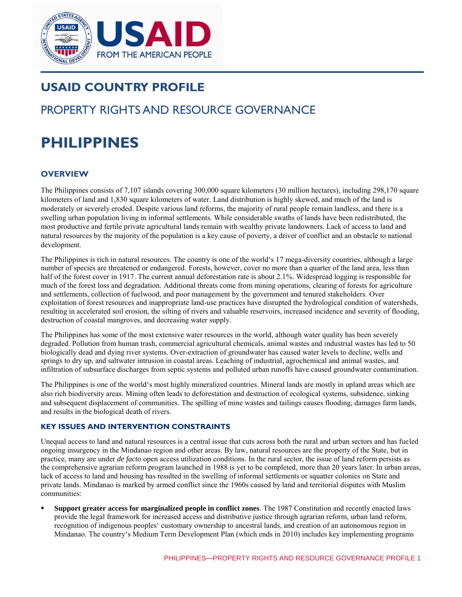

# **USAID COUNTRY PROFILE**

# PROPERTY RIGHTS AND RESOURCE GOVERNANCE

# **PHILIPPINES**

# **OVERVIEW**

The Philippines consists of 7,107 islands covering 300,000 square kilometers (30 million hectares), including 298,170 square kilometers of land and 1,830 square kilometers of water. Land distribution is highly skewed, and much of the land is moderately or severely eroded. Despite various land reforms, the majority of rural people remain landless, and there is a swelling urban population living in informal settlements. While considerable swaths of lands have been redistributed, the most productive and fertile private agricultural lands remain with wealthy private landowners. Lack of access to land and natural resources by the majority of the population is a key cause of poverty, a driver of conflict and an obstacle to national development.

The Philippines is rich in natural resources. The country is one of the world's 17 mega-diversity countries, although a large number of species are threatened or endangered. Forests, however, cover no more than a quarter of the land area, less than half of the forest cover in 1917. The current annual deforestation rate is about 2.1%. Widespread logging is responsible for much of the forest loss and degradation. Additional threats come from mining operations, clearing of forests for agriculture and settlements, collection of fuelwood, and poor management by the government and tenured stakeholders. Over exploitation of forest resources and inappropriate land-use practices have disrupted the hydrological condition of watersheds, resulting in accelerated soil erosion, the silting of rivers and valuable reservoirs, increased incidence and severity of flooding, destruction of coastal mangroves, and decreasing water supply.

The Philippines has some of the most extensive water resources in the world, although water quality has been severely degraded. Pollution from human trash, commercial agricultural chemicals, animal wastes and industrial wastes has led to 50 biologically dead and dying river systems. Over-extraction of groundwater has caused water levels to decline, wells and springs to dry up, and saltwater intrusion in coastal areas. Leaching of industrial, agrochemical and animal wastes, and infiltration of subsurface discharges from septic systems and polluted urban runoffs have caused groundwater contamination.

The Philippines is one of the world's most highly mineralized countries. Mineral lands are mostly in upland areas which are also rich biodiversity areas. Mining often leads to deforestation and destruction of ecological systems, subsidence, sinking and subsequent displacement of communities. The spilling of mine wastes and tailings causes flooding, damages farm lands, and results in the biological death of rivers.

#### **KEY ISSUES AND INTERVENTION CONSTRAINTS**

Unequal access to land and natural resources is a central issue that cuts across both the rural and urban sectors and has fueled ongoing insurgency in the Mindanao region and other areas. By law, natural resources are the property of the State, but in practice, many are under *de facto* open access utilization conditions. In the rural sector, the issue of land reform persists as the comprehensive agrarian reform program launched in 1988 is yet to be completed, more than 20 years later. In urban areas, lack of access to land and housing has resulted in the swelling of informal settlements or squatter colonies on State and private lands. Mindanao is marked by armed conflict since the 1960s caused by land and territorial disputes with Muslim communities:

 **Support greater access for marginalized people in conflict zones**. The 1987 Constitution and recently enacted laws provide the legal framework for increased access and distributive justice through agrarian reform, urban land reform, recognition of indigenous peoples' customary ownership to ancestral lands, and creation of an autonomous region in Mindanao. The country's Medium Term Development Plan (which ends in 2010) includes key implementing programs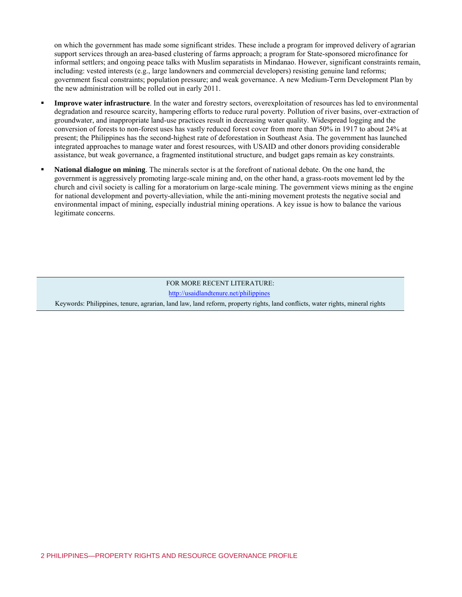on which the government has made some significant strides. These include a program for improved delivery of agrarian support services through an area-based clustering of farms approach; a program for State-sponsored microfinance for informal settlers; and ongoing peace talks with Muslim separatists in Mindanao. However, significant constraints remain, including: vested interests (e.g., large landowners and commercial developers) resisting genuine land reforms; government fiscal constraints; population pressure; and weak governance. A new Medium-Term Development Plan by the new administration will be rolled out in early 2011.

- **Improve water infrastructure**. In the water and forestry sectors, overexploitation of resources has led to environmental degradation and resource scarcity, hampering efforts to reduce rural poverty. Pollution of river basins, over-extraction of groundwater, and inappropriate land-use practices result in decreasing water quality. Widespread logging and the conversion of forests to non-forest uses has vastly reduced forest cover from more than 50% in 1917 to about 24% at present; the Philippines has the second-highest rate of deforestation in Southeast Asia. The government has launched integrated approaches to manage water and forest resources, with USAID and other donors providing considerable assistance, but weak governance, a fragmented institutional structure, and budget gaps remain as key constraints.
- **National dialogue on mining**. The minerals sector is at the forefront of national debate. On the one hand, the government is aggressively promoting large-scale mining and, on the other hand, a grass-roots movement led by the church and civil society is calling for a moratorium on large-scale mining. The government views mining as the engine for national development and poverty-alleviation, while the anti-mining movement protests the negative social and environmental impact of mining, especially industrial mining operations. A key issue is how to balance the various legitimate concerns.

FOR MORE RECENT LITERATURE: <http://usaidlandtenure.net/philippines> Keywords: Philippines, tenure, agrarian, land law, land reform, property rights, land conflicts, water rights, mineral rights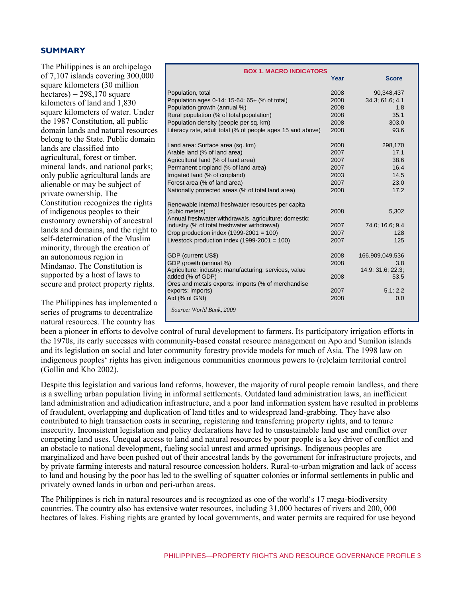#### **SUMMARY**

The Philippines is an archipelago of 7,107 islands covering 300,000 square kilometers (30 million hectares) – 298,170 square kilometers of land and 1,830 square kilometers of water. Under the 1987 Constitution, all public domain lands and natural resources belong to the State. Public domain lands are classified into agricultural, forest or timber, mineral lands, and national parks; only public agricultural lands are alienable or may be subject of private ownership. The Constitution recognizes the rights of indigenous peoples to their customary ownership of ancestral lands and domains, and the right to self-determination of the Muslim minority, through the creation of an autonomous region in Mindanao. The Constitution is supported by a host of laws to secure and protect property rights.

The Philippines has implemented a series of programs to decentralize natural resources. The country has

| <b>BOX 1. MACRO INDICATORS</b>                             |      |                   |  |  |  |
|------------------------------------------------------------|------|-------------------|--|--|--|
|                                                            | Year | <b>Score</b>      |  |  |  |
| Population, total                                          | 2008 | 90,348,437        |  |  |  |
| Population ages 0-14: 15-64: 65+ (% of total)              | 2008 | 34.3; 61.6; 4.1   |  |  |  |
| Population growth (annual %)                               | 2008 | 1.8               |  |  |  |
| Rural population (% of total population)                   | 2008 | 35.1              |  |  |  |
| Population density (people per sq. km)                     | 2008 | 303.0             |  |  |  |
| Literacy rate, adult total (% of people ages 15 and above) | 2008 | 93.6              |  |  |  |
| Land area: Surface area (sq. km)                           | 2008 | 298,170           |  |  |  |
| Arable land (% of land area)                               | 2007 | 17.1              |  |  |  |
| Agricultural land (% of land area)                         | 2007 | 38.6              |  |  |  |
| Permanent cropland (% of land area)                        | 2007 | 16.4              |  |  |  |
| Irrigated land (% of cropland)                             | 2003 | 14.5              |  |  |  |
| Forest area (% of land area)                               | 2007 | 23.0              |  |  |  |
| Nationally protected areas (% of total land area)          | 2008 | 17.2              |  |  |  |
| Renewable internal freshwater resources per capita         |      |                   |  |  |  |
| (cubic meters)                                             | 2008 | 5,302             |  |  |  |
| Annual freshwater withdrawals, agriculture: domestic:      |      |                   |  |  |  |
| industry (% of total freshwater withdrawal)                | 2007 | 74.0, 16.6, 9.4   |  |  |  |
| Crop production index $(1999-2001 = 100)$                  | 2007 | 128               |  |  |  |
| Livestock production index $(1999-2001 = 100)$             | 2007 | 125               |  |  |  |
| GDP (current US\$)                                         | 2008 | 166,909,049,536   |  |  |  |
| GDP growth (annual %)                                      | 2008 | 3.8               |  |  |  |
| Agriculture: industry: manufacturing: services, value      |      | 14.9; 31.6; 22.3; |  |  |  |
| added (% of GDP)                                           | 2008 | 53.5              |  |  |  |
| Ores and metals exports: imports (% of merchandise         |      |                   |  |  |  |
| exports: imports)                                          | 2007 | 5.1; 2.2          |  |  |  |
| Aid (% of GNI)                                             | 2008 | 0.0               |  |  |  |
| Source: World Bank, 2009                                   |      |                   |  |  |  |
|                                                            |      |                   |  |  |  |

been a pioneer in efforts to devolve control of rural development to farmers. Its participatory irrigation efforts in the 1970s, its early successes with community-based coastal resource management on Apo and Sumilon islands and its legislation on social and later community forestry provide models for much of Asia. The 1998 law on indigenous peoples' rights has given indigenous communities enormous powers to (re)claim territorial control (Gollin and Kho 2002).

Despite this legislation and various land reforms, however, the majority of rural people remain landless, and there is a swelling urban population living in informal settlements. Outdated land administration laws, an inefficient land administration and adjudication infrastructure, and a poor land information system have resulted in problems of fraudulent, overlapping and duplication of land titles and to widespread land-grabbing. They have also contributed to high transaction costs in securing, registering and transferring property rights, and to tenure insecurity. Inconsistent legislation and policy declarations have led to unsustainable land use and conflict over competing land uses. Unequal access to land and natural resources by poor people is a key driver of conflict and an obstacle to national development, fueling social unrest and armed uprisings. Indigenous peoples are marginalized and have been pushed out of their ancestral lands by the government for infrastructure projects, and by private farming interests and natural resource concession holders. Rural-to-urban migration and lack of access to land and housing by the poor has led to the swelling of squatter colonies or informal settlements in public and privately owned lands in urban and peri-urban areas.

The Philippines is rich in natural resources and is recognized as one of the world's 17 mega-biodiversity countries. The country also has extensive water resources, including 31,000 hectares of rivers and 200, 000 hectares of lakes. Fishing rights are granted by local governments, and water permits are required for use beyond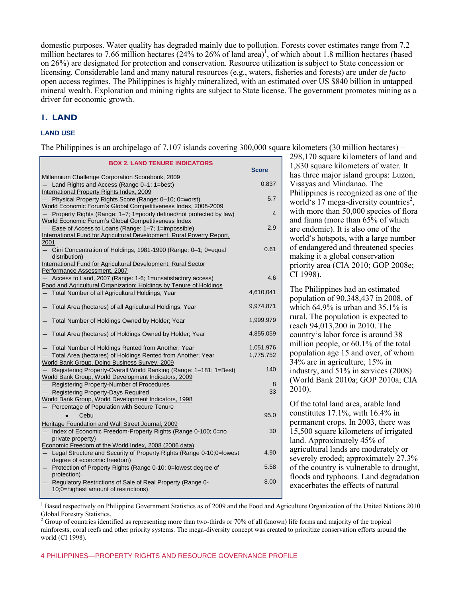domestic purposes. Water quality has degraded mainly due to pollution. Forests cover estimates range from 7.2 million hectares to 7.66 million hectares  $(24\%$  to 26% of land area)<sup>1</sup>, of which about 1.8 million hectares (based on 26%) are designated for protection and conservation. Resource utilization is subject to State concession or licensing. Considerable land and many natural resources (e.g., waters, fisheries and forests) are under *de facto* open access regimes. The Philippines is highly mineralized, with an estimated over US \$840 billion in untapped mineral wealth. Exploration and mining rights are subject to State license. The government promotes mining as a driver for economic growth.

## **1. LAND**

#### **LAND USE**

The Philippines is an archipelago of 7,107 islands covering 300,000 square kilometers (30 million hectares) –

| <b>BOX 2. LAND TENURE INDICATORS</b>                                                                                             |              |
|----------------------------------------------------------------------------------------------------------------------------------|--------------|
|                                                                                                                                  | <b>Score</b> |
| Millennium Challenge Corporation Scorebook, 2009<br>- Land Rights and Access (Range 0-1; 1=best)                                 | 0.837        |
| International Property Rights Index, 2009                                                                                        |              |
| Physical Property Rights Score (Range: 0-10; 0=worst)                                                                            | 5.7          |
| World Economic Forum's Global Competitiveness Index, 2008-2009                                                                   |              |
| Property Rights (Range: 1-7; 1=poorly defined/not protected by law)<br>World Economic Forum's Global Competitiveness Index       | 4            |
| Ease of Access to Loans (Range: 1-7; 1=impossible)                                                                               | 2.9          |
| International Fund for Agricultural Development, Rural Poverty Report,                                                           |              |
| 2001                                                                                                                             | 0.61         |
| Gini Concentration of Holdings, 1981-1990 (Range: 0-1; 0=equal<br>distribution)                                                  |              |
| International Fund for Agricultural Development, Rural Sector                                                                    |              |
| Performance Assessment, 2007                                                                                                     | 4.6          |
| Access to Land, 2007 (Range: 1-6; 1=unsatisfactory access)<br>Food and Agricultural Organization: Holdings by Tenure of Holdings |              |
| Total Number of all Agricultural Holdings, Year                                                                                  | 4,610,041    |
| - Total Area (hectares) of all Agricultural Holdings, Year                                                                       | 9,974,871    |
| - Total Number of Holdings Owned by Holder; Year                                                                                 | 1,999,979    |
| - Total Area (hectares) of Holdings Owned by Holder; Year                                                                        | 4,855,059    |
| - Total Number of Holdings Rented from Another; Year                                                                             | 1,051,976    |
| Total Area (hectares) of Holdings Rented from Another; Year                                                                      | 1,775,752    |
| World Bank Group, Doing Business Survey, 2009                                                                                    |              |
| Registering Property-Overall World Ranking (Range: 1-181; 1=Best)<br>World Bank Group, World Development Indicators, 2009        | 140          |
| Registering Property-Number of Procedures                                                                                        | 8            |
| Registering Property-Days Required                                                                                               | 33           |
| World Bank Group, World Development Indicators, 1998                                                                             |              |
| Percentage of Population with Secure Tenure                                                                                      |              |
| Cebu                                                                                                                             | 95.0         |
| Heritage Foundation and Wall Street Journal, 2009                                                                                | 30           |
| Index of Economic Freedom-Property Rights (Range 0-100; 0=no<br>$-$<br>private property)                                         |              |
| Economic Freedom of the World Index, 2008 (2006 data)                                                                            |              |
| Legal Structure and Security of Property Rights (Range 0-10;0=lowest<br>$-$<br>degree of economic freedom)                       | 4.90         |
| Protection of Property Rights (Range 0-10; 0=lowest degree of<br>$-$                                                             | 5.58         |
| protection)                                                                                                                      |              |
| Regulatory Restrictions of Sale of Real Property (Range 0-<br>10;0=highest amount of restrictions)                               | 8.00         |
|                                                                                                                                  |              |

298,170 square kilometers of land and 1,830 square kilometers of water. It has three major island groups: Luzon, Visayas and Mindanao. The Philippines is recognized as one of the world's 17 mega-diversity countries<sup>2</sup>, with more than 50,000 species of flora and fauna (more than 65% of which are endemic). It is also one of the world's hotspots, with a large number of endangered and threatened species making it a global conservation priority area (CIA 2010; GOP 2008e; CI 1998).

The Philippines had an estimated population of 90,348,437 in 2008, of which 64.9% is urban and 35.1% is rural. The population is expected to reach 94,013,200 in 2010. The country's labor force is around 38 million people, or 60.1% of the total population age 15 and over, of whom 34% are in agriculture, 15% in industry, and 51% in services (2008) (World Bank 2010a; GOP 2010a; CIA 2010).

Of the total land area, arable land constitutes 17.1%, with 16.4% in permanent crops. In 2003, there was 15,500 square kilometers of irrigated land. Approximately 45% of agricultural lands are moderately or severely eroded; approximately 27.3% of the country is vulnerable to drought, floods and typhoons. Land degradation exacerbates the effects of natural

1 Based respectively on Philippine Government Statistics as of 2009 and the Food and Agriculture Organization of the United Nations 2010 Global Forestry Statistics.

<sup>2</sup> Group of countries identified as representing more than two-thirds or 70% of all (known) life forms and majority of the tropical rainforests, coral reefs and other priority systems. The mega-diversity concept was created to prioritize conservation efforts around the world (CI 1998).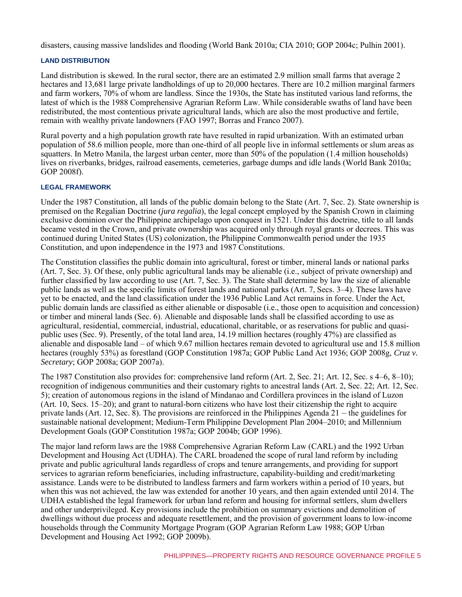disasters, causing massive landslides and flooding (World Bank 2010a; CIA 2010; GOP 2004c; Pulhin 2001).

#### **LAND DISTRIBUTION**

Land distribution is skewed. In the rural sector, there are an estimated 2.9 million small farms that average 2 hectares and 13,681 large private landholdings of up to 20,000 hectares. There are 10.2 million marginal farmers and farm workers, 70% of whom are landless. Since the 1930s, the State has instituted various land reforms, the latest of which is the 1988 Comprehensive Agrarian Reform Law. While considerable swaths of land have been redistributed, the most contentious private agricultural lands, which are also the most productive and fertile, remain with wealthy private landowners (FAO 1997; Borras and Franco 2007).

Rural poverty and a high population growth rate have resulted in rapid urbanization. With an estimated urban population of 58.6 million people, more than one-third of all people live in informal settlements or slum areas as squatters. In Metro Manila, the largest urban center, more than 50% of the population (1.4 million households) lives on riverbanks, bridges, railroad easements, cemeteries, garbage dumps and idle lands (World Bank 2010a; GOP 2008f).

#### **LEGAL FRAMEWORK**

Under the 1987 Constitution, all lands of the public domain belong to the State (Art. 7, Sec. 2). State ownership is premised on the Regalian Doctrine (*jura regalia*), the legal concept employed by the Spanish Crown in claiming exclusive dominion over the Philippine archipelago upon conquest in 1521. Under this doctrine, title to all lands became vested in the Crown, and private ownership was acquired only through royal grants or decrees. This was continued during United States (US) colonization, the Philippine Commonwealth period under the 1935 Constitution, and upon independence in the 1973 and 1987 Constitutions.

The Constitution classifies the public domain into agricultural, forest or timber, mineral lands or national parks (Art. 7, Sec. 3). Of these, only public agricultural lands may be alienable (i.e., subject of private ownership) and further classified by law according to use (Art. 7, Sec. 3). The State shall determine by law the size of alienable public lands as well as the specific limits of forest lands and national parks (Art. 7, Secs. 3–4). These laws have yet to be enacted, and the land classification under the 1936 Public Land Act remains in force. Under the Act, public domain lands are classified as either alienable or disposable (i.e., those open to acquisition and concession) or timber and mineral lands (Sec. 6). Alienable and disposable lands shall be classified according to use as agricultural, residential, commercial, industrial, educational, charitable, or as reservations for public and quasipublic uses (Sec. 9). Presently, of the total land area, 14.19 million hectares (roughly 47%) are classified as alienable and disposable land – of which 9.67 million hectares remain devoted to agricultural use and 15.8 million hectares (roughly 53%) as forestland (GOP Constitution 1987a; GOP Public Land Act 1936; GOP 2008g, *Cruz v. Secretary*; GOP 2008a; GOP 2007a).

The 1987 Constitution also provides for: comprehensive land reform (Art. 2, Sec. 21; Art. 12, Sec. s 4–6, 8–10); recognition of indigenous communities and their customary rights to ancestral lands (Art. 2, Sec. 22; Art. 12, Sec. 5); creation of autonomous regions in the island of Mindanao and Cordillera provinces in the island of Luzon (Art. 10, Secs. 15–20); and grant to natural-born citizens who have lost their citizenship the right to acquire private lands (Art. 12, Sec. 8). The provisions are reinforced in the Philippines Agenda 21 – the guidelines for sustainable national development; Medium-Term Philippine Development Plan 2004–2010; and Millennium Development Goals (GOP Constitution 1987a; GOP 2004b; GOP 1996).

The major land reform laws are the 1988 Comprehensive Agrarian Reform Law (CARL) and the 1992 Urban Development and Housing Act (UDHA). The CARL broadened the scope of rural land reform by including private and public agricultural lands regardless of crops and tenure arrangements, and providing for support services to agrarian reform beneficiaries, including infrastructure, capability-building and credit/marketing assistance. Lands were to be distributed to landless farmers and farm workers within a period of 10 years, but when this was not achieved, the law was extended for another 10 years, and then again extended until 2014. The UDHA established the legal framework for urban land reform and housing for informal settlers, slum dwellers and other underprivileged. Key provisions include the prohibition on summary evictions and demolition of dwellings without due process and adequate resettlement, and the provision of government loans to low-income households through the Community Mortgage Program (GOP Agrarian Reform Law 1988; GOP Urban Development and Housing Act 1992; GOP 2009b).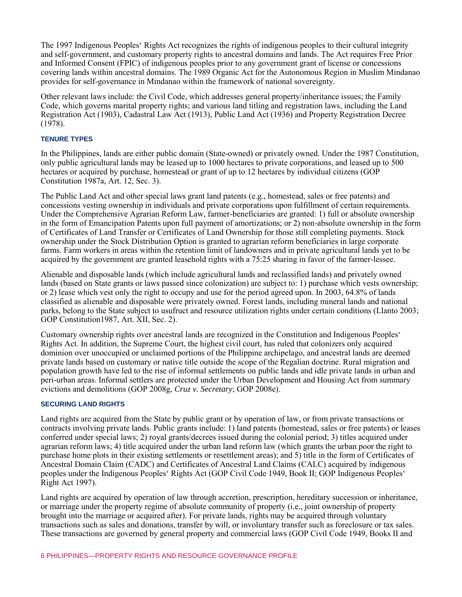The 1997 Indigenous Peoples' Rights Act recognizes the rights of indigenous peoples to their cultural integrity and self-government, and customary property rights to ancestral domains and lands. The Act requires Free Prior and Informed Consent (FPIC) of indigenous peoples prior to any government grant of license or concessions covering lands within ancestral domains. The 1989 Organic Act for the Autonomous Region in Muslim Mindanao provides for self-governance in Mindanao within the framework of national sovereignty.

Other relevant laws include: the Civil Code, which addresses general property/inheritance issues; the Family Code, which governs marital property rights; and various land titling and registration laws, including the Land Registration Act (1903), Cadastral Law Act (1913), Public Land Act (1936) and Property Registration Decree (1978).

#### **TENURE TYPES**

In the Philippines, lands are either public domain (State-owned) or privately owned. Under the 1987 Constitution, only public agricultural lands may be leased up to 1000 hectares to private corporations, and leased up to 500 hectares or acquired by purchase, homestead or grant of up to 12 hectares by individual citizens (GOP Constitution 1987a, Art. 12, Sec. 3).

The Public Land Act and other special laws grant land patents (e.g., homestead, sales or free patents) and concessions vesting ownership in individuals and private corporations upon fulfillment of certain requirements. Under the Comprehensive Agrarian Reform Law, farmer-beneficiaries are granted: 1) full or absolute ownership in the form of Emancipation Patents upon full payment of amortizations; or 2) non-absolute ownership in the form of Certificates of Land Transfer or Certificates of Land Ownership for those still completing payments. Stock ownership under the Stock Distribution Option is granted to agrarian reform beneficiaries in large corporate farms. Farm workers in areas within the retention limit of landowners and in private agricultural lands yet to be acquired by the government are granted leasehold rights with a 75:25 sharing in favor of the farmer-lessee.

Alienable and disposable lands (which include agricultural lands and reclassified lands) and privately owned lands (based on State grants or laws passed since colonization) are subject to: 1) purchase which vests ownership; or 2) lease which vest only the right to occupy and use for the period agreed upon. In 2003, 64.8% of lands classified as alienable and disposable were privately owned. Forest lands, including mineral lands and national parks, belong to the State subject to usufruct and resource utilization rights under certain conditions (Llanto 2003; GOP Constitution1987, Art. XII, Sec. 2).

Customary ownership rights over ancestral lands are recognized in the Constitution and Indigenous Peoples' Rights Act. In addition, the Supreme Court, the highest civil court, has ruled that colonizers only acquired dominion over unoccupied or unclaimed portions of the Philippine archipelago, and ancestral lands are deemed private lands based on customary or native title outside the scope of the Regalian doctrine. Rural migration and population growth have led to the rise of informal settlements on public lands and idle private lands in urban and peri-urban areas. Informal settlers are protected under the Urban Development and Housing Act from summary evictions and demolitions (GOP 2008g, *Cruz v. Secretary*; GOP 2008e).

#### **SECURING LAND RIGHTS**

Land rights are acquired from the State by public grant or by operation of law, or from private transactions or contracts involving private lands. Public grants include: 1) land patents (homestead, sales or free patents) or leases conferred under special laws; 2) royal grants/decrees issued during the colonial period; 3) titles acquired under agrarian reform laws; 4) title acquired under the urban land reform law (which grants the urban poor the right to purchase home plots in their existing settlements or resettlement areas); and 5) title in the form of Certificates of Ancestral Domain Claim (CADC) and Certificates of Ancestral Land Claims (CALC) acquired by indigenous peoples under the Indigenous Peoples' Rights Act (GOP Civil Code 1949, Book II; GOP Indigenous Peoples' Right Act 1997).

Land rights are acquired by operation of law through accretion, prescription, hereditary succession or inheritance, or marriage under the property regime of absolute community of property (i.e., joint ownership of property brought into the marriage or acquired after). For private lands, rights may be acquired through voluntary transactions such as sales and donations, transfer by will, or involuntary transfer such as foreclosure or tax sales. These transactions are governed by general property and commercial laws (GOP Civil Code 1949, Books II and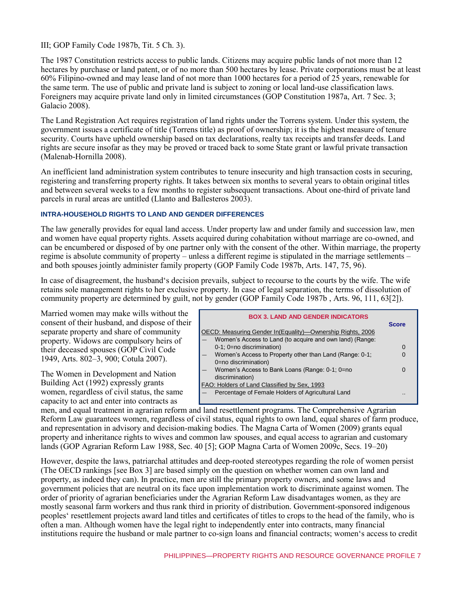III; GOP Family Code 1987b, Tit. 5 Ch. 3).

The 1987 Constitution restricts access to public lands. Citizens may acquire public lands of not more than 12 hectares by purchase or land patent, or of no more than 500 hectares by lease. Private corporations must be at least 60% Filipino-owned and may lease land of not more than 1000 hectares for a period of 25 years, renewable for the same term. The use of public and private land is subject to zoning or local land-use classification laws. Foreigners may acquire private land only in limited circumstances (GOP Constitution 1987a, Art. 7 Sec. 3; Galacio 2008).

The Land Registration Act requires registration of land rights under the Torrens system. Under this system, the government issues a certificate of title (Torrens title) as proof of ownership; it is the highest measure of tenure security. Courts have upheld ownership based on tax declarations, realty tax receipts and transfer deeds. Land rights are secure insofar as they may be proved or traced back to some State grant or lawful private transaction (Malenab-Hornilla 2008).

An inefficient land administration system contributes to tenure insecurity and high transaction costs in securing, registering and transferring property rights. It takes between six months to several years to obtain original titles and between several weeks to a few months to register subsequent transactions. About one-third of private land parcels in rural areas are untitled (Llanto and Ballesteros 2003).

#### **INTRA-HOUSEHOLD RIGHTS TO LAND AND GENDER DIFFERENCES**

The law generally provides for equal land access. Under property law and under family and succession law, men and women have equal property rights. Assets acquired during cohabitation without marriage are co-owned, and can be encumbered or disposed of by one partner only with the consent of the other. Within marriage, the property regime is absolute community of property – unless a different regime is stipulated in the marriage settlements – and both spouses jointly administer family property (GOP Family Code 1987b, Arts. 147, 75, 96).

In case of disagreement, the husband's decision prevails, subject to recourse to the courts by the wife. The wife retains sole management rights to her exclusive property. In case of legal separation, the terms of dissolution of community property are determined by guilt, not by gender (GOP Family Code 1987b , Arts. 96, 111, 63[2]).

Married women may make wills without the consent of their husband, and dispose of their separate property and share of community property. Widows are compulsory heirs of their deceased spouses (GOP Civil Code 1949, Arts. 802–3, 900; Cotula 2007).

The Women in Development and Nation Building Act (1992) expressly grants women, regardless of civil status, the same capacity to act and enter into contracts as

| <b>BOX 3. LAND AND GENDER INDICATORS</b> |                                                            |              |  |
|------------------------------------------|------------------------------------------------------------|--------------|--|
|                                          |                                                            | <b>Score</b> |  |
|                                          | OECD: Measuring Gender In(Equality)—Ownership Rights, 2006 |              |  |
|                                          | Women's Access to Land (to acquire and own land) (Range:   |              |  |
|                                          | 0-1; 0=no discrimination)                                  | 0            |  |
| $\overline{\phantom{0}}$                 | Women's Access to Property other than Land (Range: 0-1;    | 0            |  |
|                                          | 0=no discrimination)                                       |              |  |
|                                          | Women's Access to Bank Loans (Range: 0-1; 0=no             | O            |  |
|                                          | discrimination)                                            |              |  |
|                                          | FAO: Holders of Land Classified by Sex, 1993               |              |  |
|                                          | Percentage of Female Holders of Agricultural Land          |              |  |
|                                          |                                                            |              |  |

men, and equal treatment in agrarian reform and land resettlement programs. The Comprehensive Agrarian Reform Law guarantees women, regardless of civil status, equal rights to own land, equal shares of farm produce, and representation in advisory and decision-making bodies. The Magna Carta of Women (2009) grants equal property and inheritance rights to wives and common law spouses, and equal access to agrarian and customary lands (GOP Agrarian Reform Law 1988, Sec. 40 [5]; GOP Magna Carta of Women 2009c, Secs. 19–20)

However, despite the laws, patriarchal attitudes and deep-rooted stereotypes regarding the role of women persist (The OECD rankings [see Box 3] are based simply on the question on whether women can own land and property, as indeed they can). In practice, men are still the primary property owners, and some laws and government policies that are neutral on its face upon implementation work to discriminate against women. The order of priority of agrarian beneficiaries under the Agrarian Reform Law disadvantages women, as they are mostly seasonal farm workers and thus rank third in priority of distribution. Government-sponsored indigenous peoples' resettlement projects award land titles and certificates of titles to crops to the head of the family, who is often a man. Although women have the legal right to independently enter into contracts, many financial institutions require the husband or male partner to co-sign loans and financial contracts; women's access to credit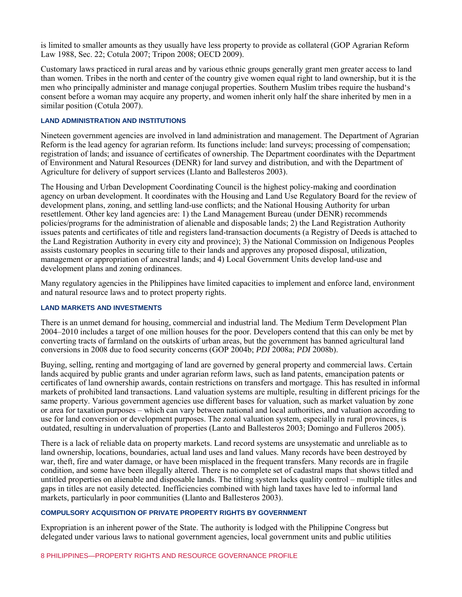is limited to smaller amounts as they usually have less property to provide as collateral (GOP Agrarian Reform Law 1988, Sec. 22; Cotula 2007; Tripon 2008; OECD 2009).

Customary laws practiced in rural areas and by various ethnic groups generally grant men greater access to land than women. Tribes in the north and center of the country give women equal right to land ownership, but it is the men who principally administer and manage conjugal properties. Southern Muslim tribes require the husband's consent before a woman may acquire any property, and women inherit only half the share inherited by men in a similar position (Cotula 2007).

#### **LAND ADMINISTRATION AND INSTITUTIONS**

Nineteen government agencies are involved in land administration and management. The Department of Agrarian Reform is the lead agency for agrarian reform. Its functions include: land surveys; processing of compensation; registration of lands; and issuance of certificates of ownership. The Department coordinates with the Department of Environment and Natural Resources (DENR) for land survey and distribution, and with the Department of Agriculture for delivery of support services (Llanto and Ballesteros 2003).

The Housing and Urban Development Coordinating Council is the highest policy-making and coordination agency on urban development. It coordinates with the Housing and Land Use Regulatory Board for the review of development plans, zoning, and settling land-use conflicts; and the National Housing Authority for urban resettlement. Other key land agencies are: 1) the Land Management Bureau (under DENR) recommends policies/programs for the administration of alienable and disposable lands; 2) the Land Registration Authority issues patents and certificates of title and registers land-transaction documents (a Registry of Deeds is attached to the Land Registration Authority in every city and province); 3) the National Commission on Indigenous Peoples assists customary peoples in securing title to their lands and approves any proposed disposal, utilization, management or appropriation of ancestral lands; and 4) Local Government Units develop land-use and development plans and zoning ordinances.

Many regulatory agencies in the Philippines have limited capacities to implement and enforce land, environment and natural resource laws and to protect property rights.

#### **LAND MARKETS AND INVESTMENTS**

There is an unmet demand for housing, commercial and industrial land. The Medium Term Development Plan 2004–2010 includes a target of one million houses for the poor. Developers contend that this can only be met by converting tracts of farmland on the outskirts of urban areas, but the government has banned agricultural land conversions in 2008 due to food security concerns (GOP 2004b; *PDI* 2008a; *PDI* 2008b).

Buying, selling, renting and mortgaging of land are governed by general property and commercial laws. Certain lands acquired by public grants and under agrarian reform laws, such as land patents, emancipation patents or certificates of land ownership awards, contain restrictions on transfers and mortgage. This has resulted in informal markets of prohibited land transactions. Land valuation systems are multiple, resulting in different pricings for the same property. Various government agencies use different bases for valuation, such as market valuation by zone or area for taxation purposes – which can vary between national and local authorities, and valuation according to use for land conversion or development purposes. The zonal valuation system, especially in rural provinces, is outdated, resulting in undervaluation of properties (Lanto and Ballesteros 2003; Domingo and Fulleros 2005).

There is a lack of reliable data on property markets. Land record systems are unsystematic and unreliable as to land ownership, locations, boundaries, actual land uses and land values. Many records have been destroyed by war, theft, fire and water damage, or have been misplaced in the frequent transfers. Many records are in fragile condition, and some have been illegally altered. There is no complete set of cadastral maps that shows titled and untitled properties on alienable and disposable lands. The titling system lacks quality control – multiple titles and gaps in titles are not easily detected. Inefficiencies combined with high land taxes have led to informal land markets, particularly in poor communities (Llanto and Ballesteros 2003).

#### **COMPULSORY ACQUISITION OF PRIVATE PROPERTY RIGHTS BY GOVERNMENT**

Expropriation is an inherent power of the State. The authority is lodged with the Philippine Congress but delegated under various laws to national government agencies, local government units and public utilities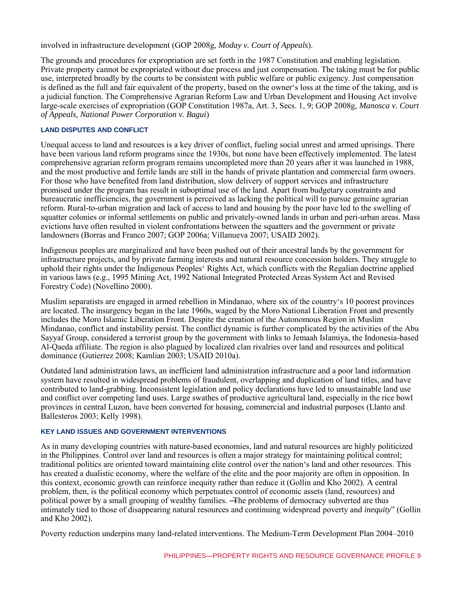involved in infrastructure development (GOP 2008g, *Moday v. Court of Appeals*).

The grounds and procedures for expropriation are set forth in the 1987 Constitution and enabling legislation. Private property cannot be expropriated without due process and just compensation. The taking must be for public use, interpreted broadly by the courts to be consistent with public welfare or public exigency. Just compensation is defined as the full and fair equivalent of the property, based on the owner's loss at the time of the taking, and is a judicial function. The Comprehensive Agrarian Reform Law and Urban Development and Housing Act involve large-scale exercises of expropriation (GOP Constitution 1987a, Art. 3, Secs. 1, 9; GOP 2008g, *Manosca v. Court of Appeals, National Power Corporation v. Bagui*)

#### **LAND DISPUTES AND CONFLICT**

Unequal access to land and resources is a key driver of conflict, fueling social unrest and armed uprisings. There have been various land reform programs since the 1930s, but none have been effectively implemented. The latest comprehensive agrarian reform program remains uncompleted more than 20 years after it was launched in 1988, and the most productive and fertile lands are still in the hands of private plantation and commercial farm owners. For those who have benefited from land distribution, slow delivery of support services and infrastructure promised under the program has result in suboptimal use of the land. Apart from budgetary constraints and bureaucratic inefficiencies, the government is perceived as lacking the political will to pursue genuine agrarian reform. Rural-to-urban migration and lack of access to land and housing by the poor have led to the swelling of squatter colonies or informal settlements on public and privately-owned lands in urban and peri-urban areas. Mass evictions have often resulted in violent confrontations between the squatters and the government or private landowners (Borras and Franco 2007; GOP 2006a; Villanueva 2007; USAID 2002).

Indigenous peoples are marginalized and have been pushed out of their ancestral lands by the government for infrastructure projects, and by private farming interests and natural resource concession holders. They struggle to uphold their rights under the Indigenous Peoples' Rights Act, which conflicts with the Regalian doctrine applied in various laws (e.g., 1995 Mining Act, 1992 National Integrated Protected Areas System Act and Revised Forestry Code) (Novellino 2000).

Muslim separatists are engaged in armed rebellion in Mindanao, where six of the country's 10 poorest provinces are located. The insurgency began in the late 1960s, waged by the Moro National Liberation Front and presently includes the Moro Islamic Liberation Front. Despite the creation of the Autonomous Region in Muslim Mindanao, conflict and instability persist. The conflict dynamic is further complicated by the activities of the Abu Sayyaf Group, considered a terrorist group by the government with links to Jemaah Islamiya, the Indonesia-based Al-Qaeda affiliate. The region is also plagued by localized clan rivalries over land and resources and political dominance (Gutierrez 2008; Kamlian 2003; USAID 2010a).

Outdated land administration laws, an inefficient land administration infrastructure and a poor land information system have resulted in widespread problems of fraudulent, overlapping and duplication of land titles, and have contributed to land-grabbing. Inconsistent legislation and policy declarations have led to unsustainable land use and conflict over competing land uses. Large swathes of productive agricultural land, especially in the rice bowl provinces in central Luzon, have been converted for housing, commercial and industrial purposes (Llanto and Ballesteros 2003; Kelly 1998).

#### **KEY LAND ISSUES AND GOVERNMENT INTERVENTIONS**

As in many developing countries with nature-based economies, land and natural resources are highly politicized in the Philippines. Control over land and resources is often a major strategy for maintaining political control; traditional politics are oriented toward maintaining elite control over the nation's land and other resources. This has created a dualistic economy, where the welfare of the elite and the poor majority are often in opposition. In this context, economic growth can reinforce inequity rather than reduce it (Gollin and Kho 2002). A central problem, then, is the political economy which perpetuates control of economic assets (land, resources) and political power by a small grouping of wealthy families. ―The problems of democracy subverted are thus intimately tied to those of disappearing natural resources and continuing widespread poverty and *inequity*" (Gollin and Kho 2002).

Poverty reduction underpins many land-related interventions. The Medium-Term Development Plan 2004–2010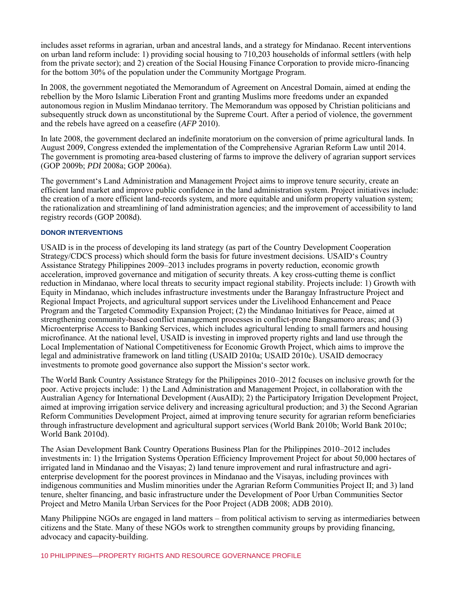includes asset reforms in agrarian, urban and ancestral lands, and a strategy for Mindanao. Recent interventions on urban land reform include: 1) providing social housing to 710,203 households of informal settlers (with help from the private sector); and 2) creation of the Social Housing Finance Corporation to provide micro-financing for the bottom 30% of the population under the Community Mortgage Program.

In 2008, the government negotiated the Memorandum of Agreement on Ancestral Domain, aimed at ending the rebellion by the Moro Islamic Liberation Front and granting Muslims more freedoms under an expanded autonomous region in Muslim Mindanao territory. The Memorandum was opposed by Christian politicians and subsequently struck down as unconstitutional by the Supreme Court. After a period of violence, the government and the rebels have agreed on a ceasefire (*AFP* 2010).

In late 2008, the government declared an indefinite moratorium on the conversion of prime agricultural lands. In August 2009, Congress extended the implementation of the Comprehensive Agrarian Reform Law until 2014. The government is promoting area-based clustering of farms to improve the delivery of agrarian support services (GOP 2009b; *PDI* 2008a; GOP 2006a).

The government's Land Administration and Management Project aims to improve tenure security, create an efficient land market and improve public confidence in the land administration system. Project initiatives include: the creation of a more efficient land-records system, and more equitable and uniform property valuation system; the rationalization and streamlining of land administration agencies; and the improvement of accessibility to land registry records (GOP 2008d).

#### **DONOR INTERVENTIONS**

USAID is in the process of developing its land strategy (as part of the Country Development Cooperation Strategy/CDCS process) which should form the basis for future investment decisions. USAID's Country Assistance Strategy Philippines 2009–2013 includes programs in poverty reduction, economic growth acceleration, improved governance and mitigation of security threats. A key cross-cutting theme is conflict reduction in Mindanao, where local threats to security impact regional stability. Projects include: 1) Growth with Equity in Mindanao, which includes infrastructure investments under the Barangay Infrastructure Project and Regional Impact Projects, and agricultural support services under the Livelihood Enhancement and Peace Program and the Targeted Commodity Expansion Project; (2) the Mindanao Initiatives for Peace, aimed at strengthening community-based conflict management processes in conflict-prone Bangsamoro areas; and (3) Microenterprise Access to Banking Services, which includes agricultural lending to small farmers and housing microfinance. At the national level, USAID is investing in improved property rights and land use through the Local Implementation of National Competitiveness for Economic Growth Project, which aims to improve the legal and administrative framework on land titling (USAID 2010a; USAID 2010c). USAID democracy investments to promote good governance also support the Mission's sector work.

The World Bank Country Assistance Strategy for the Philippines 2010–2012 focuses on inclusive growth for the poor. Active projects include: 1) the Land Administration and Management Project, in collaboration with the Australian Agency for International Development (AusAID); 2) the Participatory Irrigation Development Project, aimed at improving irrigation service delivery and increasing agricultural production; and 3) the Second Agrarian Reform Communities Development Project, aimed at improving tenure security for agrarian reform beneficiaries through infrastructure development and agricultural support services (World Bank 2010b; World Bank 2010c; World Bank 2010d).

The Asian Development Bank Country Operations Business Plan for the Philippines 2010–2012 includes investments in: 1) the Irrigation Systems Operation Efficiency Improvement Project for about 50,000 hectares of irrigated land in Mindanao and the Visayas; 2) land tenure improvement and rural infrastructure and agrienterprise development for the poorest provinces in Mindanao and the Visayas, including provinces with indigenous communities and Muslim minorities under the Agrarian Reform Communities Project II; and 3) land tenure, shelter financing, and basic infrastructure under the Development of Poor Urban Communities Sector Project and Metro Manila Urban Services for the Poor Project (ADB 2008; ADB 2010).

Many Philippine NGOs are engaged in land matters – from political activism to serving as intermediaries between citizens and the State. Many of these NGOs work to strengthen community groups by providing financing, advocacy and capacity-building.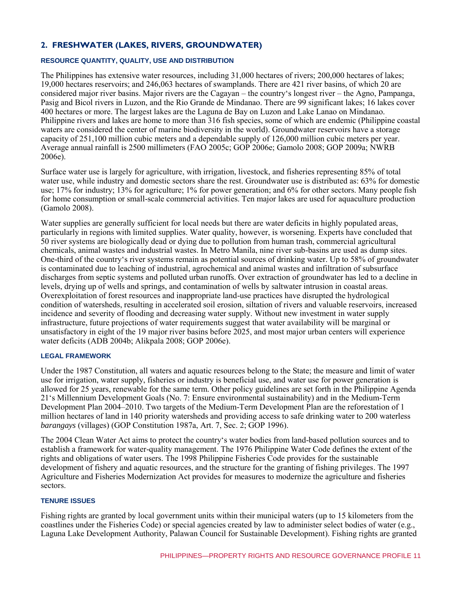# **2. FRESHWATER (LAKES, RIVERS, GROUNDWATER)**

#### **RESOURCE QUANTITY, QUALITY, USE AND DISTRIBUTION**

The Philippines has extensive water resources, including 31,000 hectares of rivers; 200,000 hectares of lakes; 19,000 hectares reservoirs; and 246,063 hectares of swamplands. There are 421 river basins, of which 20 are considered major river basins. Major rivers are the Cagayan – the country's longest river – the Agno, Pampanga, Pasig and Bicol rivers in Luzon, and the Rio Grande de Mindanao. There are 99 significant lakes; 16 lakes cover 400 hectares or more. The largest lakes are the Laguna de Bay on Luzon and Lake Lanao on Mindanao. Philippine rivers and lakes are home to more than 316 fish species, some of which are endemic (Philippine coastal waters are considered the center of marine biodiversity in the world). Groundwater reservoirs have a storage capacity of 251,100 million cubic meters and a dependable supply of 126,000 million cubic meters per year. Average annual rainfall is 2500 millimeters (FAO 2005c; GOP 2006e; Gamolo 2008; GOP 2009a; NWRB 2006e).

Surface water use is largely for agriculture, with irrigation, livestock, and fisheries representing 85% of total water use, while industry and domestic sectors share the rest. Groundwater use is distributed as: 63% for domestic use; 17% for industry; 13% for agriculture; 1% for power generation; and 6% for other sectors. Many people fish for home consumption or small-scale commercial activities. Ten major lakes are used for aquaculture production (Gamolo 2008).

Water supplies are generally sufficient for local needs but there are water deficits in highly populated areas, particularly in regions with limited supplies. Water quality, however, is worsening. Experts have concluded that 50 river systems are biologically dead or dying due to pollution from human trash, commercial agricultural chemicals, animal wastes and industrial wastes. In Metro Manila, nine river sub-basins are used as dump sites. One-third of the country's river systems remain as potential sources of drinking water. Up to 58% of groundwater is contaminated due to leaching of industrial, agrochemical and animal wastes and infiltration of subsurface discharges from septic systems and polluted urban runoffs. Over extraction of groundwater has led to a decline in levels, drying up of wells and springs, and contamination of wells by saltwater intrusion in coastal areas. Overexploitation of forest resources and inappropriate land-use practices have disrupted the hydrological condition of watersheds, resulting in accelerated soil erosion, siltation of rivers and valuable reservoirs, increased incidence and severity of flooding and decreasing water supply. Without new investment in water supply infrastructure, future projections of water requirements suggest that water availability will be marginal or unsatisfactory in eight of the 19 major river basins before 2025, and most major urban centers will experience water deficits (ADB 2004b; Alikpala 2008; GOP 2006e).

#### **LEGAL FRAMEWORK**

Under the 1987 Constitution, all waters and aquatic resources belong to the State; the measure and limit of water use for irrigation, water supply, fisheries or industry is beneficial use, and water use for power generation is allowed for 25 years, renewable for the same term. Other policy guidelines are set forth in the Philippine Agenda 21's Millennium Development Goals (No. 7: Ensure environmental sustainability) and in the Medium-Term Development Plan 2004–2010. Two targets of the Medium-Term Development Plan are the reforestation of 1 million hectares of land in 140 priority watersheds and providing access to safe drinking water to 200 waterless *barangays* (villages) (GOP Constitution 1987a, Art. 7, Sec. 2; GOP 1996).

The 2004 Clean Water Act aims to protect the country's water bodies from land-based pollution sources and to establish a framework for water-quality management. The 1976 Philippine Water Code defines the extent of the rights and obligations of water users. The 1998 Philippine Fisheries Code provides for the sustainable development of fishery and aquatic resources, and the structure for the granting of fishing privileges. The 1997 Agriculture and Fisheries Modernization Act provides for measures to modernize the agriculture and fisheries sectors.

#### **TENURE ISSUES**

Fishing rights are granted by local government units within their municipal waters (up to 15 kilometers from the coastlines under the Fisheries Code) or special agencies created by law to administer select bodies of water (e.g., Laguna Lake Development Authority, Palawan Council for Sustainable Development). Fishing rights are granted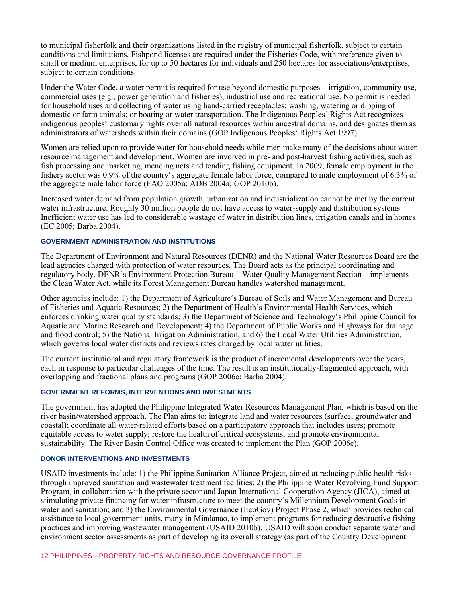to municipal fisherfolk and their organizations listed in the registry of municipal fisherfolk, subject to certain conditions and limitations. Fishpond licenses are required under the Fisheries Code, with preference given to small or medium enterprises, for up to 50 hectares for individuals and 250 hectares for associations/enterprises, subject to certain conditions.

Under the Water Code, a water permit is required for use beyond domestic purposes – irrigation, community use, commercial uses (e.g., power generation and fisheries), industrial use and recreational use. No permit is needed for household uses and collecting of water using hand-carried receptacles; washing, watering or dipping of domestic or farm animals; or boating or water transportation. The Indigenous Peoples' Rights Act recognizes indigenous peoples' customary rights over all natural resources within ancestral domains, and designates them as administrators of watersheds within their domains (GOP Indigenous Peoples' Rights Act 1997).

Women are relied upon to provide water for household needs while men make many of the decisions about water resource management and development. Women are involved in pre- and post-harvest fishing activities, such as fish processing and marketing, mending nets and tending fishing equipment. In 2009, female employment in the fishery sector was 0.9% of the country's aggregate female labor force, compared to male employment of 6.3% of the aggregate male labor force (FAO 2005a; ADB 2004a; GOP 2010b).

Increased water demand from population growth, urbanization and industrialization cannot be met by the current water infrastructure. Roughly 30 million people do not have access to water-supply and distribution systems. Inefficient water use has led to considerable wastage of water in distribution lines, irrigation canals and in homes (EC 2005; Barba 2004).

#### **GOVERNMENT ADMINISTRATION AND INSTITUTIONS**

The Department of Environment and Natural Resources (DENR) and the National Water Resources Board are the lead agencies charged with protection of water resources. The Board acts as the principal coordinating and regulatory body. DENR's Environment Protection Bureau – Water Quality Management Section – implements the Clean Water Act, while its Forest Management Bureau handles watershed management.

Other agencies include: 1) the Department of Agriculture's Bureau of Soils and Water Management and Bureau of Fisheries and Aquatic Resources; 2) the Department of Health's Environmental Health Services, which enforces drinking water quality standards; 3) the Department of Science and Technology's Philippine Council for Aquatic and Marine Research and Development; 4) the Department of Public Works and Highways for drainage and flood control; 5) the National Irrigation Administration; and 6) the Local Water Utilities Administration, which governs local water districts and reviews rates charged by local water utilities.

The current institutional and regulatory framework is the product of incremental developments over the years, each in response to particular challenges of the time. The result is an institutionally-fragmented approach, with overlapping and fractional plans and programs (GOP 2006e; Barba 2004).

#### **GOVERNMENT REFORMS, INTERVENTIONS AND INVESTMENTS**

The government has adopted the Philippine Integrated Water Resources Management Plan, which is based on the river basin/watershed approach. The Plan aims to: integrate land and water resources (surface, groundwater and coastal); coordinate all water-related efforts based on a participatory approach that includes users; promote equitable access to water supply; restore the health of critical ecosystems; and promote environmental sustainability. The River Basin Control Office was created to implement the Plan (GOP 2006e).

#### **DONOR INTERVENTIONS AND INVESTMENTS**

USAID investments include: 1) the Philippine Sanitation Alliance Project, aimed at reducing public health risks through improved sanitation and wastewater treatment facilities; 2) the Philippine Water Revolving Fund Support Program, in collaboration with the private sector and Japan International Cooperation Agency (JICA), aimed at stimulating private financing for water infrastructure to meet the country's Millennium Development Goals in water and sanitation; and 3) the Environmental Governance (EcoGov) Project Phase 2, which provides technical assistance to local government units, many in Mindanao, to implement programs for reducing destructive fishing practices and improving wastewater management (USAID 2010b). USAID will soon conduct separate water and environment sector assessments as part of developing its overall strategy (as part of the Country Development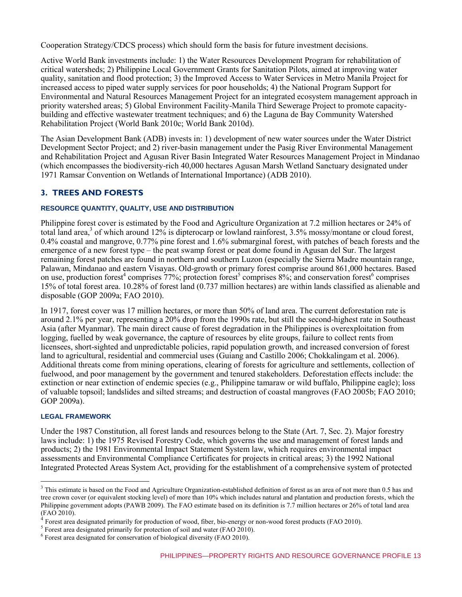Cooperation Strategy/CDCS process) which should form the basis for future investment decisions.

Active World Bank investments include: 1) the Water Resources Development Program for rehabilitation of critical watersheds; 2) Philippine Local Government Grants for Sanitation Pilots, aimed at improving water quality, sanitation and flood protection; 3) the Improved Access to Water Services in Metro Manila Project for increased access to piped water supply services for poor households; 4) the National Program Support for Environmental and Natural Resources Management Project for an integrated ecosystem management approach in priority watershed areas; 5) Global Environment Facility-Manila Third Sewerage Project to promote capacitybuilding and effective wastewater treatment techniques; and 6) the Laguna de Bay Community Watershed Rehabilitation Project (World Bank 2010c; World Bank 2010d).

The Asian Development Bank (ADB) invests in: 1) development of new water sources under the Water District Development Sector Project; and 2) river-basin management under the Pasig River Environmental Management and Rehabilitation Project and Agusan River Basin Integrated Water Resources Management Project in Mindanao (which encompasses the biodiversity-rich 40,000 hectares Agusan Marsh Wetland Sanctuary designated under 1971 Ramsar Convention on Wetlands of International Importance) (ADB 2010).

## **3. TREES AND FORESTS**

#### **RESOURCE QUANTITY, QUALITY, USE AND DISTRIBUTION**

Philippine forest cover is estimated by the Food and Agriculture Organization at 7.2 million hectares or 24% of total land area,<sup>3</sup> of which around 12% is dipterocarp or lowland rainforest, 3.5% mossy/montane or cloud forest, 0.4% coastal and mangrove, 0.77% pine forest and 1.6% submarginal forest, with patches of beach forests and the emergence of a new forest type – the peat swamp forest or peat dome found in Agusan del Sur. The largest remaining forest patches are found in northern and southern Luzon (especially the Sierra Madre mountain range, Palawan, Mindanao and eastern Visayas. Old-growth or primary forest comprise around 861,000 hectares. Based on use, production forest<sup>4</sup> comprises 77%; protection forest<sup>5</sup> comprises 8%; and conservation forest<sup>6</sup> comprises 15% of total forest area. 10.28% of forest land (0.737 million hectares) are within lands classified as alienable and disposable (GOP 2009a; FAO 2010).

In 1917, forest cover was 17 million hectares, or more than 50% of land area. The current deforestation rate is around 2.1% per year, representing a 20% drop from the 1990s rate, but still the second-highest rate in Southeast Asia (after Myanmar). The main direct cause of forest degradation in the Philippines is overexploitation from logging, fuelled by weak governance, the capture of resources by elite groups, failure to collect rents from licensees, short-sighted and unpredictable policies, rapid population growth, and increased conversion of forest land to agricultural, residential and commercial uses (Guiang and Castillo 2006; Chokkalingam et al. 2006). Additional threats come from mining operations, clearing of forests for agriculture and settlements, collection of fuelwood, and poor management by the government and tenured stakeholders. Deforestation effects include: the extinction or near extinction of endemic species (e.g., Philippine tamaraw or wild buffalo, Philippine eagle); loss of valuable topsoil; landslides and silted streams; and destruction of coastal mangroves (FAO 2005b; FAO 2010; GOP 2009a).

#### **LEGAL FRAMEWORK**

Under the 1987 Constitution, all forest lands and resources belong to the State (Art. 7, Sec. 2). Major forestry laws include: 1) the 1975 Revised Forestry Code, which governs the use and management of forest lands and products; 2) the 1981 Environmental Impact Statement System law, which requires environmental impact assessments and Environmental Compliance Certificates for projects in critical areas; 3) the 1992 National Integrated Protected Areas System Act, providing for the establishment of a comprehensive system of protected

<sup>&</sup>lt;sup>3</sup> This estimate is based on the Food and Agriculture Organization-established definition of forest as an area of not more than 0.5 has and <sup>3</sup> tree crown cover (or equivalent stocking level) of more than 10% which includes natural and plantation and production forests, which the Philippine government adopts (PAWB 2009). The FAO estimate based on its definition is 7.7 million hectares or 26% of total land area (FAO 2010).

<sup>4</sup> Forest area designated primarily for production of wood, fiber, bio-energy or non-wood forest products (FAO 2010).

 $<sup>5</sup>$  Forest area designated primarily for protection of soil and water (FAO 2010).</sup>

<sup>&</sup>lt;sup>6</sup> Forest area designated for conservation of biological diversity (FAO 2010).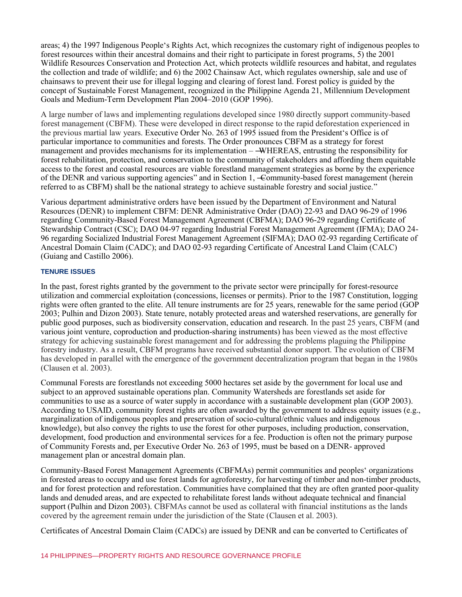areas; 4) the 1997 Indigenous People's Rights Act, which recognizes the customary right of indigenous peoples to forest resources within their ancestral domains and their right to participate in forest programs, 5) the 2001 Wildlife Resources Conservation and Protection Act, which protects wildlife resources and habitat, and regulates the collection and trade of wildlife; and 6) the 2002 Chainsaw Act, which regulates ownership, sale and use of chainsaws to prevent their use for illegal logging and clearing of forest land. Forest policy is guided by the concept of Sustainable Forest Management, recognized in the Philippine Agenda 21, Millennium Development Goals and Medium-Term Development Plan 2004–2010 (GOP 1996).

A large number of laws and implementing regulations developed since 1980 directly support community-based forest management (CBFM). These were developed in direct response to the rapid deforestation experienced in the previous martial law years. Executive Order No. 263 of 1995 issued from the President's Office is of particular importance to communities and forests. The Order pronounces CBFM as a strategy for forest management and provides mechanisms for its implementation – —WHEREAS, entrusting the responsibility for forest rehabilitation, protection, and conservation to the community of stakeholders and affording them equitable access to the forest and coastal resources are viable forestland management strategies as borne by the experience of the DENR and various supporting agencies" and in Section 1, -Community-based forest management (herein referred to as CBFM) shall be the national strategy to achieve sustainable forestry and social justice."

Various department administrative orders have been issued by the Department of Environment and Natural Resources (DENR) to implement CBFM: DENR Administrative Order (DAO) 22-93 and DAO 96-29 of 1996 regarding Community-Based Forest Management Agreement (CBFMA); DAO 96-29 regarding Certificate of Stewardship Contract (CSC); DAO 04-97 regarding Industrial Forest Management Agreement (IFMA); DAO 24- 96 regarding Socialized Industrial Forest Management Agreement (SIFMA); DAO 02-93 regarding Certificate of Ancestral Domain Claim (CADC); and DAO 02-93 regarding Certificate of Ancestral Land Claim (CALC) (Guiang and Castillo 2006).

#### **TENURE ISSUES**

In the past, forest rights granted by the government to the private sector were principally for forest-resource utilization and commercial exploitation (concessions, licenses or permits). Prior to the 1987 Constitution, logging rights were often granted to the elite. All tenure instruments are for 25 years, renewable for the same period (GOP 2003; Pulhin and Dizon 2003). State tenure, notably protected areas and watershed reservations, are generally for public good purposes, such as biodiversity conservation, education and research. In the past 25 years, CBFM (and various joint venture, coproduction and production-sharing instruments) has been viewed as the most effective strategy for achieving sustainable forest management and for addressing the problems plaguing the Philippine forestry industry. As a result, CBFM programs have received substantial donor support. The evolution of CBFM has developed in parallel with the emergence of the government decentralization program that began in the 1980s (Clausen et al. 2003).

Communal Forests are forestlands not exceeding 5000 hectares set aside by the government for local use and subject to an approved sustainable operations plan. Community Watersheds are forestlands set aside for communities to use as a source of water supply in accordance with a sustainable development plan (GOP 2003). According to USAID, community forest rights are often awarded by the government to address equity issues (e.g., marginalization of indigenous peoples and preservation of socio-cultural/ethnic values and indigenous knowledge), but also convey the rights to use the forest for other purposes, including production, conservation, development, food production and environmental services for a fee. Production is often not the primary purpose of Community Forests and, per Executive Order No. 263 of 1995, must be based on a DENR- approved management plan or ancestral domain plan.

Community-Based Forest Management Agreements (CBFMAs) permit communities and peoples' organizations in forested areas to occupy and use forest lands for agroforestry, for harvesting of timber and non-timber products, and for forest protection and reforestation. Communities have complained that they are often granted poor-quality lands and denuded areas, and are expected to rehabilitate forest lands without adequate technical and financial support (Pulhin and Dizon 2003). CBFMAs cannot be used as collateral with financial institutions as the lands covered by the agreement remain under the jurisdiction of the State (Clausen et al. 2003).

Certificates of Ancestral Domain Claim (CADCs) are issued by DENR and can be converted to Certificates of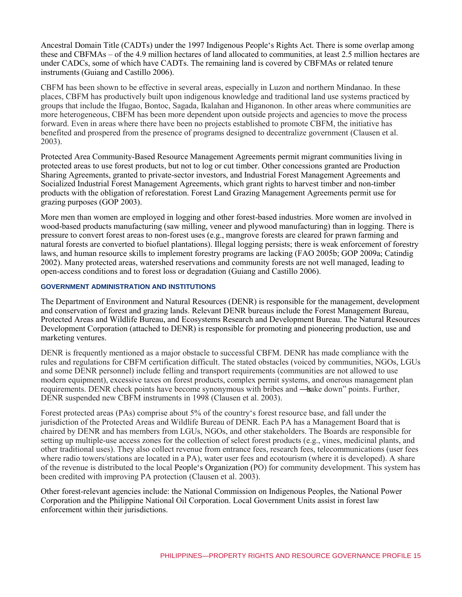Ancestral Domain Title (CADTs) under the 1997 Indigenous People's Rights Act. There is some overlap among these and CBFMAs – of the 4.9 million hectares of land allocated to communities, at least 2.5 million hectares are under CADCs, some of which have CADTs. The remaining land is covered by CBFMAs or related tenure instruments (Guiang and Castillo 2006).

CBFM has been shown to be effective in several areas, especially in Luzon and northern Mindanao. In these places, CBFM has productively built upon indigenous knowledge and traditional land use systems practiced by groups that include the Ifugao, Bontoc, Sagada, Ikalahan and Higanonon. In other areas where communities are more heterogeneous, CBFM has been more dependent upon outside projects and agencies to move the process forward. Even in areas where there have been no projects established to promote CBFM, the initiative has benefited and prospered from the presence of programs designed to decentralize government (Clausen et al. 2003).

Protected Area Community-Based Resource Management Agreements permit migrant communities living in protected areas to use forest products, but not to log or cut timber. Other concessions granted are Production Sharing Agreements, granted to private-sector investors, and Industrial Forest Management Agreements and Socialized Industrial Forest Management Agreements, which grant rights to harvest timber and non-timber products with the obligation of reforestation. Forest Land Grazing Management Agreements permit use for grazing purposes (GOP 2003).

More men than women are employed in logging and other forest-based industries. More women are involved in wood-based products manufacturing (saw milling, veneer and plywood manufacturing) than in logging. There is pressure to convert forest areas to non-forest uses (e.g., mangrove forests are cleared for prawn farming and natural forests are converted to biofuel plantations). Illegal logging persists; there is weak enforcement of forestry laws, and human resource skills to implement forestry programs are lacking (FAO 2005b; GOP 2009a; Catindig 2002). Many protected areas, watershed reservations and community forests are not well managed, leading to open-access conditions and to forest loss or degradation (Guiang and Castillo 2006).

#### **GOVERNMENT ADMINISTRATION AND INSTITUTIONS**

The Department of Environment and Natural Resources (DENR) is responsible for the management, development and conservation of forest and grazing lands. Relevant DENR bureaus include the Forest Management Bureau, Protected Areas and Wildlife Bureau, and Ecosystems Research and Development Bureau. The Natural Resources Development Corporation (attached to DENR) is responsible for promoting and pioneering production, use and marketing ventures.

DENR is frequently mentioned as a major obstacle to successful CBFM. DENR has made compliance with the rules and regulations for CBFM certification difficult. The stated obstacles (voiced by communities, NGOs, LGUs and some DENR personnel) include felling and transport requirements (communities are not allowed to use modern equipment), excessive taxes on forest products, complex permit systems, and onerous management plan requirements. DENR check points have become synonymous with bribes and —sake down" points. Further, DENR suspended new CBFM instruments in 1998 (Clausen et al. 2003).

Forest protected areas (PAs) comprise about 5% of the country's forest resource base, and fall under the jurisdiction of the Protected Areas and Wildlife Bureau of DENR. Each PA has a Management Board that is chaired by DENR and has members from LGUs, NGOs, and other stakeholders. The Boards are responsible for setting up multiple-use access zones for the collection of select forest products (e.g., vines, medicinal plants, and other traditional uses). They also collect revenue from entrance fees, research fees, telecommunications (user fees where radio towers/stations are located in a PA), water user fees and ecotourism (where it is developed). A share of the revenue is distributed to the local People's Organization (PO) for community development. This system has been credited with improving PA protection (Clausen et al. 2003).

Other forest-relevant agencies include: the National Commission on Indigenous Peoples, the National Power Corporation and the Philippine National Oil Corporation. Local Government Units assist in forest law enforcement within their jurisdictions.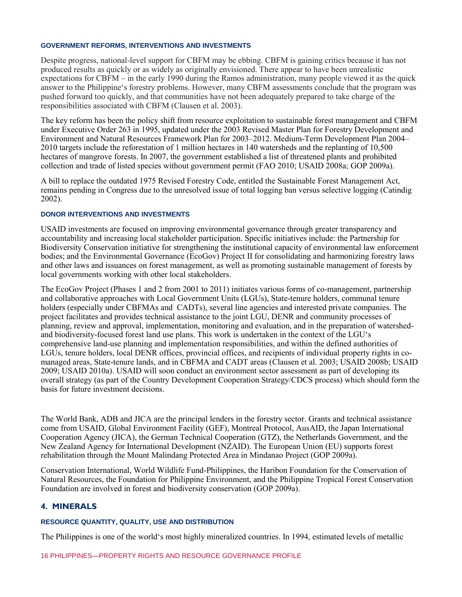#### **GOVERNMENT REFORMS, INTERVENTIONS AND INVESTMENTS**

Despite progress, national-level support for CBFM may be ebbing. CBFM is gaining critics because it has not produced results as quickly or as widely as originally envisioned. There appear to have been unrealistic expectations for CBFM – in the early 1990 during the Ramos administration, many people viewed it as the quick answer to the Philippine's forestry problems. However, many CBFM assessments conclude that the program was pushed forward too quickly, and that communities have not been adequately prepared to take charge of the responsibilities associated with CBFM (Clausen et al. 2003).

The key reform has been the policy shift from resource exploitation to sustainable forest management and CBFM under Executive Order 263 in 1995, updated under the 2003 Revised Master Plan for Forestry Development and Environment and Natural Resources Framework Plan for 2003–2012. Medium-Term Development Plan 2004– 2010 targets include the reforestation of 1 million hectares in 140 watersheds and the replanting of 10,500 hectares of mangrove forests. In 2007, the government established a list of threatened plants and prohibited collection and trade of listed species without government permit (FAO 2010; USAID 2008a; GOP 2009a).

A bill to replace the outdated 1975 Revised Forestry Code, entitled the Sustainable Forest Management Act, remains pending in Congress due to the unresolved issue of total logging ban versus selective logging (Catindig 2002).

#### **DONOR INTERVENTIONS AND INVESTMENTS**

USAID investments are focused on improving environmental governance through greater transparency and accountability and increasing local stakeholder participation. Specific initiatives include: the Partnership for Biodiversity Conservation initiative for strengthening the institutional capacity of environmental law enforcement bodies; and the Environmental Governance (EcoGov) Project II for consolidating and harmonizing forestry laws and other laws and issuances on forest management, as well as promoting sustainable management of forests by local governments working with other local stakeholders.

The EcoGov Project (Phases 1 and 2 from 2001 to 2011) initiates various forms of co-management, partnership and collaborative approaches with Local Government Units (LGUs), State-tenure holders, communal tenure holders (especially under CBFMAs and CADTs), several line agencies and interested private companies. The project facilitates and provides technical assistance to the joint LGU, DENR and community processes of planning, review and approval, implementation, monitoring and evaluation, and in the preparation of watershedand biodiversity-focused forest land use plans. This work is undertaken in the context of the LGU's comprehensive land-use planning and implementation responsibilities, and within the defined authorities of LGUs, tenure holders, local DENR offices, provincial offices, and recipients of individual property rights in comanaged areas, State-tenure lands, and in CBFMA and CADT areas (Clausen et al. 2003; USAID 2008b; USAID 2009; USAID 2010a). USAID will soon conduct an environment sector assessment as part of developing its overall strategy (as part of the Country Development Cooperation Strategy/CDCS process) which should form the basis for future investment decisions.

The World Bank, ADB and JICA are the principal lenders in the forestry sector. Grants and technical assistance come from USAID, Global Environment Facility (GEF), Montreal Protocol, AusAID, the Japan International Cooperation Agency (JICA), the German Technical Cooperation (GTZ), the Netherlands Government, and the New Zealand Agency for International Development (NZAID). The European Union (EU) supports forest rehabilitation through the Mount Malindang Protected Area in Mindanao Project (GOP 2009a).

Conservation International, World Wildlife Fund-Philippines, the Haribon Foundation for the Conservation of Natural Resources, the Foundation for Philippine Environment, and the Philippine Tropical Forest Conservation Foundation are involved in forest and biodiversity conservation (GOP 2009a).

#### **4. MINERALS**

#### **RESOURCE QUANTITY, QUALITY, USE AND DISTRIBUTION**

The Philippines is one of the world's most highly mineralized countries. In 1994, estimated levels of metallic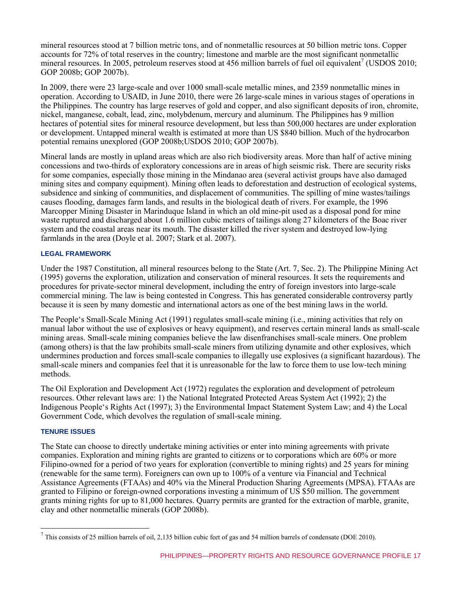mineral resources stood at 7 billion metric tons, and of nonmetallic resources at 50 billion metric tons. Copper accounts for 72% of total reserves in the country; limestone and marble are the most significant nonmetallic mineral resources. In 2005, petroleum reserves stood at 456 million barrels of fuel oil equivalent<sup>7</sup> (USDOS 2010; GOP 2008b; GOP 2007b).

In 2009, there were 23 large-scale and over 1000 small-scale metallic mines, and 2359 nonmetallic mines in operation. According to USAID, in June 2010, there were 26 large-scale mines in various stages of operations in the Philippines. The country has large reserves of gold and copper, and also significant deposits of iron, chromite, nickel, manganese, cobalt, lead, zinc, molybdenum, mercury and aluminum. The Philippines has 9 million hectares of potential sites for mineral resource development, but less than 500,000 hectares are under exploration or development. Untapped mineral wealth is estimated at more than US \$840 billion. Much of the hydrocarbon potential remains unexplored (GOP 2008b;USDOS 2010; GOP 2007b).

Mineral lands are mostly in upland areas which are also rich biodiversity areas. More than half of active mining concessions and two-thirds of exploratory concessions are in areas of high seismic risk. There are security risks for some companies, especially those mining in the Mindanao area (several activist groups have also damaged mining sites and company equipment). Mining often leads to deforestation and destruction of ecological systems, subsidence and sinking of communities, and displacement of communities. The spilling of mine wastes/tailings causes flooding, damages farm lands, and results in the biological death of rivers. For example, the 1996 Marcopper Mining Disaster in Marinduque Island in which an old mine-pit used as a disposal pond for mine waste ruptured and discharged about 1.6 million cubic meters of tailings along 27 kilometers of the Boac river system and the coastal areas near its mouth. The disaster killed the river system and destroyed low-lying farmlands in the area (Doyle et al. 2007; Stark et al. 2007).

#### **LEGAL FRAMEWORK**

Under the 1987 Constitution, all mineral resources belong to the State (Art. 7, Sec. 2). The Philippine Mining Act (1995) governs the exploration, utilization and conservation of mineral resources. It sets the requirements and procedures for private-sector mineral development, including the entry of foreign investors into large-scale commercial mining. The law is being contested in Congress. This has generated considerable controversy partly because it is seen by many domestic and international actors as one of the best mining laws in the world.

The People's Small-Scale Mining Act (1991) regulates small-scale mining (i.e., mining activities that rely on manual labor without the use of explosives or heavy equipment), and reserves certain mineral lands as small-scale mining areas. Small-scale mining companies believe the law disenfranchises small-scale miners. One problem (among others) is that the law prohibits small-scale miners from utilizing dynamite and other explosives, which undermines production and forces small-scale companies to illegally use explosives (a significant hazardous). The small-scale miners and companies feel that it is unreasonable for the law to force them to use low-tech mining methods.

The Oil Exploration and Development Act (1972) regulates the exploration and development of petroleum resources. Other relevant laws are: 1) the National Integrated Protected Areas System Act (1992); 2) the Indigenous People's Rights Act (1997); 3) the Environmental Impact Statement System Law; and 4) the Local Government Code, which devolves the regulation of small-scale mining.

#### **TENURE ISSUES**

The State can choose to directly undertake mining activities or enter into mining agreements with private companies. Exploration and mining rights are granted to citizens or to corporations which are 60% or more Filipino-owned for a period of two years for exploration (convertible to mining rights) and 25 years for mining (renewable for the same term). Foreigners can own up to 100% of a venture via Financial and Technical Assistance Agreements (FTAAs) and 40% via the Mineral Production Sharing Agreements (MPSA). FTAAs are granted to Filipino or foreign-owned corporations investing a minimum of US \$50 million. The government grants mining rights for up to 81,000 hectares. Quarry permits are granted for the extraction of marble, granite, clay and other nonmetallic minerals (GOP 2008b).

<sup>&</sup>lt;sup>7</sup> This consists of 25 million barrels of oil, 2,135 billion cubic feet of gas and 54 million barrels of condensate (DOE 2010).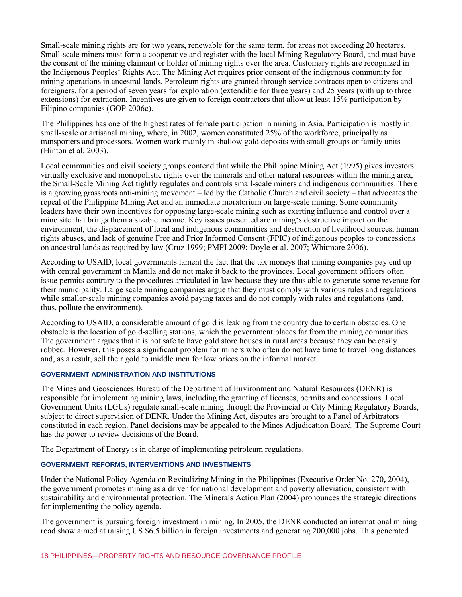Small-scale mining rights are for two years, renewable for the same term, for areas not exceeding 20 hectares. Small-scale miners must form a cooperative and register with the local Mining Regulatory Board, and must have the consent of the mining claimant or holder of mining rights over the area. Customary rights are recognized in the Indigenous Peoples' Rights Act. The Mining Act requires prior consent of the indigenous community for mining operations in ancestral lands. Petroleum rights are granted through service contracts open to citizens and foreigners, for a period of seven years for exploration (extendible for three years) and 25 years (with up to three extensions) for extraction. Incentives are given to foreign contractors that allow at least 15% participation by Filipino companies (GOP 2006c).

The Philippines has one of the highest rates of female participation in mining in Asia. Participation is mostly in small-scale or artisanal mining, where, in 2002, women constituted 25% of the workforce, principally as transporters and processors. Women work mainly in shallow gold deposits with small groups or family units (Hinton et al. 2003).

Local communities and civil society groups contend that while the Philippine Mining Act (1995) gives investors virtually exclusive and monopolistic rights over the minerals and other natural resources within the mining area, the Small-Scale Mining Act tightly regulates and controls small-scale miners and indigenous communities. There is a growing grassroots anti-mining movement – led by the Catholic Church and civil society – that advocates the repeal of the Philippine Mining Act and an immediate moratorium on large-scale mining. Some community leaders have their own incentives for opposing large-scale mining such as exerting influence and control over a mine site that brings them a sizable income. Key issues presented are mining's destructive impact on the environment, the displacement of local and indigenous communities and destruction of livelihood sources, human rights abuses, and lack of genuine Free and Prior Informed Consent (FPIC) of indigenous peoples to concessions on ancestral lands as required by law (Cruz 1999; PMPI 2009; Doyle et al. 2007; Whitmore 2006).

According to USAID, local governments lament the fact that the tax moneys that mining companies pay end up with central government in Manila and do not make it back to the provinces. Local government officers often issue permits contrary to the procedures articulated in law because they are thus able to generate some revenue for their municipality. Large scale mining companies argue that they must comply with various rules and regulations while smaller-scale mining companies avoid paying taxes and do not comply with rules and regulations (and, thus, pollute the environment).

According to USAID, a considerable amount of gold is leaking from the country due to certain obstacles. One obstacle is the location of gold-selling stations, which the government places far from the mining communities. The government argues that it is not safe to have gold store houses in rural areas because they can be easily robbed. However, this poses a significant problem for miners who often do not have time to travel long distances and, as a result, sell their gold to middle men for low prices on the informal market.

#### **GOVERNMENT ADMINISTRATION AND INSTITUTIONS**

The Mines and Geosciences Bureau of the Department of Environment and Natural Resources (DENR) is responsible for implementing mining laws, including the granting of licenses, permits and concessions. Local Government Units (LGUs) regulate small-scale mining through the Provincial or City Mining Regulatory Boards, subject to direct supervision of DENR. Under the Mining Act, disputes are brought to a Panel of Arbitrators constituted in each region. Panel decisions may be appealed to the Mines Adjudication Board. The Supreme Court has the power to review decisions of the Board.

The Department of Energy is in charge of implementing petroleum regulations.

#### **GOVERNMENT REFORMS, INTERVENTIONS AND INVESTMENTS**

Under the National Policy Agenda on Revitalizing Mining in the Philippines (Executive Order No. 270**,** 2004), the government promotes mining as a driver for national development and poverty alleviation, consistent with sustainability and environmental protection. The Minerals Action Plan (2004) pronounces the strategic directions for implementing the policy agenda.

The government is pursuing foreign investment in mining. In 2005, the DENR conducted an international mining road show aimed at raising US \$6.5 billion in foreign investments and generating 200,000 jobs. This generated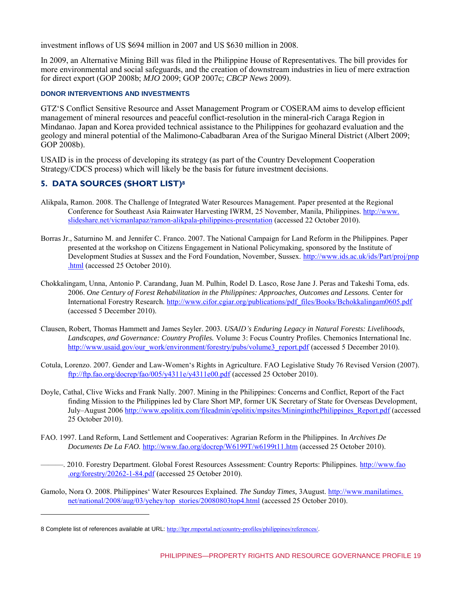investment inflows of US \$694 million in 2007 and US \$630 million in 2008.

In 2009, an Alternative Mining Bill was filed in the Philippine House of Representatives. The bill provides for more environmental and social safeguards, and the creation of downstream industries in lieu of mere extraction for direct export (GOP 2008b; *MJO* 2009; GOP 2007c; *CBCP News* 2009).

#### **DONOR INTERVENTIONS AND INVESTMENTS**

GTZ'S Conflict Sensitive Resource and Asset Management Program or COSERAM aims to develop efficient management of mineral resources and peaceful conflict-resolution in the mineral-rich Caraga Region in Mindanao. Japan and Korea provided technical assistance to the Philippines for geohazard evaluation and the geology and mineral potential of the Malimono-Cabadbaran Area of the Surigao Mineral District (Albert 2009; GOP 2008b).

USAID is in the process of developing its strategy (as part of the Country Development Cooperation Strategy/CDCS process) which will likely be the basis for future investment decisions.

# **5. DATA SOURCES (SHORT LIST)<sup>8</sup>**

 $\overline{a}$ 

- Alikpala, Ramon. 2008. The Challenge of Integrated Water Resources Management. Paper presented at the Regional Conference for Southeast Asia Rainwater Harvesting IWRM, 25 November, Manila, Philippines. http://www. slideshare.net/vicmanlapaz/ramon-alikpala-philippines-presentation (accessed 22 October 2010).
- Borras Jr., Saturnino M. and Jennifer C. Franco. 2007. The National Campaign for Land Reform in the Philippines. Paper presented at the workshop on Citizens Engagement in National Policymaking, sponsored by the Institute of Development Studies at Sussex and the Ford Foundation, November, Sussex. [http://www.ids.ac.uk/ids/Part/proj/pnp](http://www.ids.ac.uk/ids/Part/proj/pnp.html) [.html](http://www.ids.ac.uk/ids/Part/proj/pnp.html) (accessed 25 October 2010).
- Chokkalingam, Unna, Antonio P. Carandang, Juan M. Pulhin, Rodel D. Lasco, Rose Jane J. Peras and Takeshi Toma, eds. 2006. *One Century of Forest Rehabilitation in the Philippines: Approaches, Outcomes and Lessons.* Center for International Forestry Research. [http://www.cifor.cgiar.org/publications/pdf\\_files/Books/Bchokkalingam0605.pdf](http://www.cifor.cgiar.org/publications/pdf_files/Books/Bchokkalingam0605.pdf) (accessed 5 December 2010).
- Clausen, Robert, Thomas Hammett and James Seyler. 2003. *USAID's Enduring Legacy in Natural Forests: Livelihoods, Landscapes, and Governance: Country Profiles.* Volume 3: Focus Country Profiles. Chemonics International Inc. [http://www.usaid.gov/our\\_work/environment/forestry/pubs/volume3\\_report.pdf](http://www.usaid.gov/our_work/environment/forestry/pubs/volume3_report.pdf) (accessed 5 December 2010).
- Cotula, Lorenzo. 2007. Gender and Law-Women's Rights in Agriculture. FAO Legislative Study 76 Revised Version (2007). <ftp://ftp.fao.org/docrep/fao/005/y4311e/y4311e00.pdf>(accessed 25 October 2010).
- Doyle, Cathal, Clive Wicks and Frank Nally. 2007. Mining in the Philippines: Concerns and Conflict, Report of the Fact finding Mission to the Philippines led by Clare Short MP, former UK Secretary of State for Overseas Development, July–August 2006 [http://www.epolitix.com/fileadmin/epolitix/mpsites/MininginthePhilippines\\_Report.pdf](http://www.epolitix.com/fileadmin/epolitix/mpsites/MininginthePhilippines_Report.pdf) (accessed 25 October 2010).
- FAO. 1997. Land Reform, Land Settlement and Cooperatives: Agrarian Reform in the Philippines. In *Archives De Documents De La FAO.* <http://www.fao.org/docrep/W6199T/w6199t11.htm>(accessed 25 October 2010).

——. 2010. Forestry Department. Global Forest Resources Assessment: Country Reports: Philippines. [http://www.fao](http://www.fao.org/forestry/20262-1-84.pdf) [.org/forestry/20262-1-84.pdf](http://www.fao.org/forestry/20262-1-84.pdf) (accessed 25 October 2010).

Gamolo, Nora O. 2008. Philippines' Water Resources Explained. *The Sunday Times,* 3August. [http://www.manilatimes.](http://www.manilatimes.net/national/2008/aug/03/yehey/top_stories/20080803top4.html) [net/national/2008/aug/03/yehey/top\\_stories/20080803top4.html](http://www.manilatimes.net/national/2008/aug/03/yehey/top_stories/20080803top4.html) (accessed 25 October 2010).

<sup>8</sup> Complete list of references available at URL: <http://ltpr.rmportal.net/country-profiles/philippines/references/>.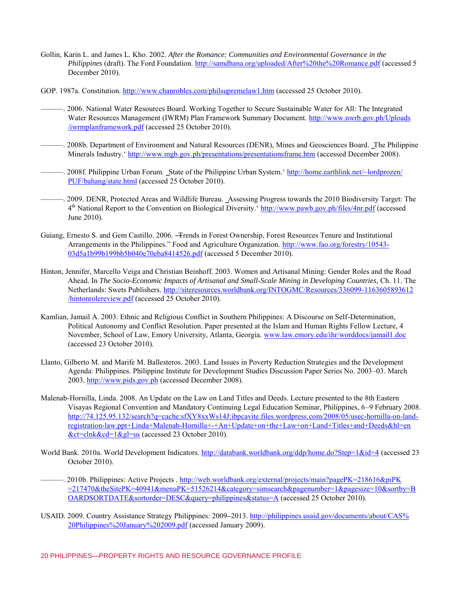- Gollin, Karin L. and James L. Kho. 2002. *After the Romance: Communities and Environmental Governance in the Philippines* (draft). The Ford Foundation.<http://samdhana.org/uploaded/After%20the%20Romance.pdf>(accessed 5 December 2010).
- GOP. 1987a. Constitution.<http://www.chanrobles.com/philsupremelaw1.htm>(accessed 25 October 2010).
- ———. 2006. National Water Resources Board. Working Together to Secure Sustainable Water for All: The Integrated Water Resources Management (IWRM) Plan Framework Summary Document. [http://www.nwrb.gov.ph/Uploads](http://www.nwrb.gov.ph/Uploads/iwrmplanframework.pdf) [/iwrmplanframework.pdf](http://www.nwrb.gov.ph/Uploads/iwrmplanframework.pdf) (accessed 25 October 2010).
- ——. 2008b. Department of Environment and Natural Resources (DENR), Mines and Geosciences Board. The Philippine Minerals Industry.[' http://www.mgb.gov.ph/presentations/presentationsframe.htm](http://www.mgb.gov.ph/presentations/presentationsframe.htm) (accessed December 2008).
- ——. 2008f. Philippine Urban Forum. State of the Philippine Urban System. '[http://home.earthlink.net/~lordprozen/](http://home.earthlink.net/~lordprozen/PUF/bahang/state.html) [PUF/bahang/state.html](http://home.earthlink.net/~lordprozen/PUF/bahang/state.html) (accessed 25 October 2010).
- ———. 2009. DENR, Protected Areas and Wildlife Bureau. ‗Assessing Progress towards the 2010 Biodiversity Target: The 4<sup>th</sup> National Report to the Convention on Biological Diversity. Contribution National Box 2011 of accessed June 2010).
- Guiang, Ernesto S. and Gem Castillo. 2006. ―Trends in Forest Ownership, Forest Resources Tenure and Institutional Arrangements in the Philippines." Food and Agriculture Organization. [http://www.fao.org/forestry/10543-](http://www.fao.org/forestry/10543-03d5a1b99b199bb5b040e70eba8414526.pdf) [03d5a1b99b199bb5b040e70eba8414526.pdf](http://www.fao.org/forestry/10543-03d5a1b99b199bb5b040e70eba8414526.pdf) (accessed 5 December 2010).
- Hinton, Jennifer, Marcello Veiga and Christian Beinhoff. 2003. Women and Artisanal Mining: Gender Roles and the Road Ahead. In *The Socio-Economic Impacts of Artisanal and Small-Scale Mining in Developing Countries,* Ch. 11. The Netherlands: Swets Publishers[. http://siteresources.worldbank.org/INTOGMC/Resources/336099-1163605893612](http://siteresources.worldbank.org/INTOGMC/Resources/336099-1163605893612/hintonrolereview.pdf) [/hintonrolereview.pdf](http://siteresources.worldbank.org/INTOGMC/Resources/336099-1163605893612/hintonrolereview.pdf) (accessed 25 October 2010).
- Kamlian, Jamail A. 2003. Ethnic and Religious Conflict in Southern Philippines: A Discourse on Self-Determination, Political Autonomy and Conflict Resolution. Paper presented at the Islam and Human Rights Fellow Lecture, 4 November, School of Law, Emory University, Atlanta, Georgia[. www.law.emory.edu/ihr/worddocs/jamail1.doc](http://www.law.emory.edu/ihr/worddocs/jamail1.doc) (accessed 23 October 2010).
- Llanto, Gilberto M. and Marife M. Ballesteros. 2003. Land Issues in Poverty Reduction Strategies and the Development Agenda: Philippines. Philippine Institute for Development Studies Discussion Paper Series No. 2003–03. March 2003*.* [http://www.pids.gov.ph](http://www.pids.gov.ph/) (accessed December 2008).
- Malenab-Hornilla, Linda. 2008. An Update on the Law on Land Titles and Deeds. Lecture presented to the 8th Eastern Visayas Regional Convention and Mandatory Continuing Legal Education Seminar, Philippines, 6–9 February 2008. [http://74.125.95.132/search?q=cache:sfXY8xxWs14J:ibpcavite.files.wordpress.com/2008/05/usec-hornilla-on-land](http://74.125.95.132/search?q=cache:sfXY8xxWs14J:ibpcavite.files.wordpress.com/2008/05/usec-hornilla-on-land-registration-law.ppt+Linda+Malenab-Hornilla+-+An+Update+on+the+Law+on+Land+Titles+and+Deeds&hl=en&ct=clnk&cd=1&gl=us)[registration-law.ppt+Linda+Malenab-Hornilla+-+An+Update+on+the+Law+on+Land+Titles+and+Deeds&hl=en](http://74.125.95.132/search?q=cache:sfXY8xxWs14J:ibpcavite.files.wordpress.com/2008/05/usec-hornilla-on-land-registration-law.ppt+Linda+Malenab-Hornilla+-+An+Update+on+the+Law+on+Land+Titles+and+Deeds&hl=en&ct=clnk&cd=1&gl=us) [&ct=clnk&cd=1&gl=us](http://74.125.95.132/search?q=cache:sfXY8xxWs14J:ibpcavite.files.wordpress.com/2008/05/usec-hornilla-on-land-registration-law.ppt+Linda+Malenab-Hornilla+-+An+Update+on+the+Law+on+Land+Titles+and+Deeds&hl=en&ct=clnk&cd=1&gl=us) (accessed 23 October 2010).
- World Bank. 2010a. World Development Indicators.<http://databank.worldbank.org/ddp/home.do?Step=1&id=4>(accessed 23 October 2010).
- ———. 2010b. Philippines: Active Projects . [http://web.worldbank.org/external/projects/main?pagePK=218616&piPK](http://web.worldbank.org/external/projects/main?pagePK=218616&piPK=217470&theSitePK=40941&menuPK=51526214&category=simsearch&pagenumber=1&pagesize=10&sortby=BOARDSORTDATE&sortorder=DESC&query=philippines&status=A) [=217470&theSitePK=40941&menuPK=51526214&category=simsearch&pagenumber=1&pagesize=10&sortby=B](http://web.worldbank.org/external/projects/main?pagePK=218616&piPK=217470&theSitePK=40941&menuPK=51526214&category=simsearch&pagenumber=1&pagesize=10&sortby=BOARDSORTDATE&sortorder=DESC&query=philippines&status=A) [OARDSORTDATE&sortorder=DESC&query=philippines&status=A](http://web.worldbank.org/external/projects/main?pagePK=218616&piPK=217470&theSitePK=40941&menuPK=51526214&category=simsearch&pagenumber=1&pagesize=10&sortby=BOARDSORTDATE&sortorder=DESC&query=philippines&status=A) (accessed 25 October 2010).
- USAID. 2009. Country Assistance Strategy Philippines: 2009**–**2013. [http://philippines.usaid.gov/documents/about/CAS%](http://philippines.usaid.gov/documents/about/CAS%20Philippines%20January%202009.pdf) [20Philippines%20January%202009.pdf](http://philippines.usaid.gov/documents/about/CAS%20Philippines%20January%202009.pdf) (accessed January 2009).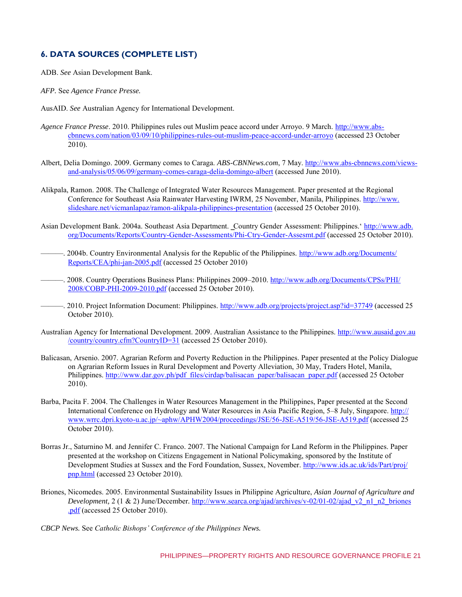## **6. DATA SOURCES (COMPLETE LIST)**

ADB. *See* Asian Development Bank.

*AFP.* See *Agence France Presse.* 

- AusAID. *See* Australian Agency for International Development.
- *Agence France Presse*. 2010. Philippines rules out Muslim peace accord under Arroyo. 9 March. [http://www.abs](http://www.abs-cbnnews.com/nation/03/09/10/philippines-rules-out-muslim-peace-accord-under-arroyo)[cbnnews.com/nation/03/09/10/philippines-rules-out-muslim-peace-accord-under-arroyo](http://www.abs-cbnnews.com/nation/03/09/10/philippines-rules-out-muslim-peace-accord-under-arroyo) (accessed 23 October 2010).
- Albert, Delia Domingo. 2009. Germany comes to Caraga. *ABS-CBNNews.com*, 7 May. [http://www.abs-cbnnews.com/views](http://www.abs-cbnnews.com/views-and-analysis/05/06/09/germany-comes-caraga-delia-domingo-albert)[and-analysis/05/06/09/germany-comes-caraga-delia-domingo-albert](http://www.abs-cbnnews.com/views-and-analysis/05/06/09/germany-comes-caraga-delia-domingo-albert) (accessed June 2010).
- Alikpala, Ramon. 2008. The Challenge of Integrated Water Resources Management. Paper presented at the Regional Conference for Southeast Asia Rainwater Harvesting IWRM, 25 November, Manila, Philippines. [http://www.](http://www.slideshare.net/vicmanlapaz/ramon-alikpala-philippines-presentation) [slideshare.net/vicmanlapaz/ramon-alikpala-philippines-presentation \(](http://www.slideshare.net/vicmanlapaz/ramon-alikpala-philippines-presentation)accessed 25 October 2010).
- Asian Development Bank. 2004a. Southeast Asia Department. Country Gender Assessment: Philippines.' [http://www.adb.](http://www.adb.org/Documents/Reports/Country-Gender-Assessments/Phi-Ctry-Gender-Assesmt.pdf)  [org/Documents/Reports/Country-Gender-Assessments/Phi-Ctry-Gender-Assesmt.pdf \(](http://www.adb.org/Documents/Reports/Country-Gender-Assessments/Phi-Ctry-Gender-Assesmt.pdf)accessed 25 October 2010).
- ———. 2004b. Country Environmental Analysis for the Republic of the Philippines. [http://www.adb.org/Documents/](http://www.adb.org/Documents/Reports/CEA/phi-jan-2005.pdf)  [Reports/CEA/phi-jan-2005.pdf](http://www.adb.org/Documents/Reports/CEA/phi-jan-2005.pdf) (accessed 25 October 2010)
- ———. 2008. Country Operations Business Plans: Philippines 2009–2010. [http://www.adb.org/Documents/CPSs/PHI/](http://www.adb.org/Documents/CPSs/PHI/2008/COBP-PHI-2009-2010.pdf) [2008/COBP-PHI-2009-2010.pdf](http://www.adb.org/Documents/CPSs/PHI/2008/COBP-PHI-2009-2010.pdf) (accessed 25 October 2010).
- 2010. Project Information Document: Philippines.<http://www.adb.org/projects/project.asp?id=37749>(accessed 25 October 2010).
- Australian Agency for International Development. 2009. Australian Assistance to the Philippines. [http://www.ausaid.gov.au](http://www.ausaid.gov.au/country/country.cfm?CountryID=31) [/country/country.cfm?CountryID=31](http://www.ausaid.gov.au/country/country.cfm?CountryID=31) (accessed 25 October 2010).
- Balicasan, Arsenio. 2007. Agrarian Reform and Poverty Reduction in the Philippines. Paper presented at the Policy Dialogue on Agrarian Reform Issues in Rural Development and Poverty Alleviation, 30 May, Traders Hotel, Manila, Philippines. [http://www.dar.gov.ph/pdf\\_files/cirdap/balisacan\\_paper/balisacan\\_paper.pdf](http://www.dar.gov.ph/pdf_files/cirdap/balisacan_paper/balisacan_paper.pdf) (accessed 25 October 2010).
- Barba, Pacita F. 2004. The Challenges in Water Resources Management in the Philippines, Paper presented at the Second International Conference on Hydrology and Water Resources in Asia Pacific Region, 5–8 July, Singapore. [http://](http://www.wrrc.dpri.kyoto-u.ac.jp/~aphw/APHW2004/proceedings/JSE/56-JSE-A519/56-JSE-A519.pdf) [www.wrrc.dpri.kyoto-u.ac.jp/~aphw/APHW2004/proceedings/JSE/56-JSE-A519/56-JSE-A519.pdf](http://www.wrrc.dpri.kyoto-u.ac.jp/~aphw/APHW2004/proceedings/JSE/56-JSE-A519/56-JSE-A519.pdf) (accessed 25 October 2010).
- Borras Jr., Saturnino M. and Jennifer C. Franco. 2007. The National Campaign for Land Reform in the Philippines. Paper presented at the workshop on Citizens Engagement in National Policymaking, sponsored by the Institute of Development Studies at Sussex and the Ford Foundation, Sussex, November. [http://www.ids.ac.uk/ids/Part/proj/](http://www.ids.ac.uk/ids/Part/proj/pnp.html) [pnp.html](http://www.ids.ac.uk/ids/Part/proj/pnp.html) (accessed 23 October 2010).
- Briones, Nicomedes. 2005. Environmental Sustainability Issues in Philippine Agriculture, *Asian Journal of Agriculture and Development,* 2 (1 & 2) June/December*.* [http://www.searca.org/ajad/archives/v-02/01-02/ajad\\_v2\\_n1\\_n2\\_briones](http://www.searca.org/ajad/archives/v-02/01-02/ajad_v2_n1_n2_briones.pdf) [.pdf](http://www.searca.org/ajad/archives/v-02/01-02/ajad_v2_n1_n2_briones.pdf) (accessed 25 October 2010).
- *CBCP News.* See *Catholic Bishops' Conference of the Philippines News.*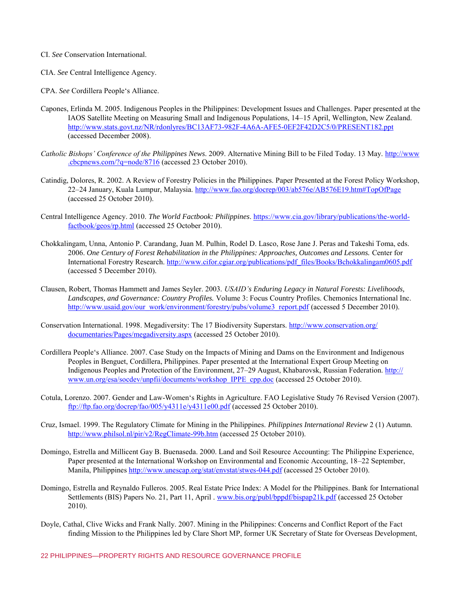CI. *See* Conservation International.

- CIA. *See* Central Intelligence Agency.
- CPA. *See* Cordillera People's Alliance.
- Capones, Erlinda M. 2005. Indigenous Peoples in the Philippines: Development Issues and Challenges. Paper presented at the IAOS Satellite Meeting on Measuring Small and Indigenous Populations, 14–15 April, Wellington, New Zealand. <http://www.stats.govt.nz/NR/rdonlyres/BC13AF73-982F-4A6A-AFE5-0EF2F42D2C5/0/PRESENT182.ppt> (accessed December 2008).
- *Catholic Bishops' Conference of the Philippines News*. 2009. Alternative Mining Bill to be Filed Today. 13 May. [http://www](http://www.cbcpnews.com/?q=node/8716)  [.cbcpnews.com/?q=node/8716](http://www.cbcpnews.com/?q=node/8716) (accessed 23 October 2010).
- Catindig, Dolores, R. 2002. A Review of Forestry Policies in the Philippines. Paper Presented at the Forest Policy Workshop, 22–24 January, Kuala Lumpur, Malaysia.<http://www.fao.org/docrep/003/ab576e/AB576E19.htm#TopOfPage> (accessed 25 October 2010).
- Central Intelligence Agency. 2010. *The World Factbook: Philippines*. [https://www.cia.gov/library/publications/the-world](https://www.cia.gov/library/publications/the-world-factbook/geos/rp.html)[factbook/geos/rp.html](https://www.cia.gov/library/publications/the-world-factbook/geos/rp.html) (accessed 25 October 2010).
- Chokkalingam, Unna, Antonio P. Carandang, Juan M. Pulhin, Rodel D. Lasco, Rose Jane J. Peras and Takeshi Toma, eds. 2006. *One Century of Forest Rehabilitation in the Philippines: Approaches, Outcomes and Lessons.* Center for International Forestry Research. [http://www.cifor.cgiar.org/publications/pdf\\_files/Books/Bchokkalingam0605.pdf](http://www.cifor.cgiar.org/publications/pdf_files/Books/Bchokkalingam0605.pdf) (accessed 5 December 2010).
- Clausen, Robert, Thomas Hammett and James Seyler. 2003. *USAID's Enduring Legacy in Natural Forests: Livelihoods, Landscapes, and Governance: Country Profiles.* Volume 3: Focus Country Profiles. Chemonics International Inc. [http://www.usaid.gov/our\\_work/environment/forestry/pubs/volume3\\_report.pdf](http://www.usaid.gov/our_work/environment/forestry/pubs/volume3_report.pdf) (accessed 5 December 2010).
- Conservation International. 1998. Megadiversity: The 17 Biodiversity Superstars. [http://www.conservation.org/](http://www.conservation.org/documentaries/Pages/megadiversity.aspx) [documentaries/Pages/megadiversity.aspx](http://www.conservation.org/documentaries/Pages/megadiversity.aspx) (accessed 25 October 2010).
- Cordillera People's Alliance. 2007. Case Study on the Impacts of Mining and Dams on the Environment and Indigenous Peoples in Benguet, Cordillera, Philippines. Paper presented at the International Expert Group Meeting on Indigenous Peoples and Protection of the Environment, 27–29 August, Khabarovsk, Russian Federation. [http://](http://www.un.org/esa/socdev/unpfii/documents/workshop_IPPE_cpp.doc) [www.un.org/esa/socdev/unpfii/documents/workshop\\_IPPE\\_cpp.doc](http://www.un.org/esa/socdev/unpfii/documents/workshop_IPPE_cpp.doc) (accessed 25 October 2010).
- Cotula, Lorenzo. 2007. Gender and Law-Women's Rights in Agriculture. FAO Legislative Study 76 Revised Version (2007). <ftp://ftp.fao.org/docrep/fao/005/y4311e/y4311e00.pdf>(accessed 25 October 2010).
- Cruz, Ismael. 1999. The Regulatory Climate for Mining in the Philippines. *Philippines International Review* 2 (1) Autumn. <http://www.philsol.nl/pir/v2/RegClimate-99b.htm>(accessed 25 October 2010).
- Domingo, Estrella and Millicent Gay B. Buenaseda. 2000. Land and Soil Resource Accounting: The Philippine Experience, Paper presented at the International Workshop on Environmental and Economic Accounting, 18–22 September, Manila, Philippines<http://www.unescap.org/stat/envstat/stwes-044.pdf>(accessed 25 October 2010).
- Domingo, Estrella and Reynaldo Fulleros. 2005. Real Estate Price Index: A Model for the Philippines. Bank for International Settlements (BIS) Papers No. 21, Part 11, April [. www.bis.org/publ/bppdf/bispap21k.pdf](http://www.bis.org/publ/bppdf/bispap21k.pdf) (accessed 25 October 2010).
- Doyle, Cathal, Clive Wicks and Frank Nally. 2007. Mining in the Philippines: Concerns and Conflict Report of the Fact finding Mission to the Philippines led by Clare Short MP, former UK Secretary of State for Overseas Development,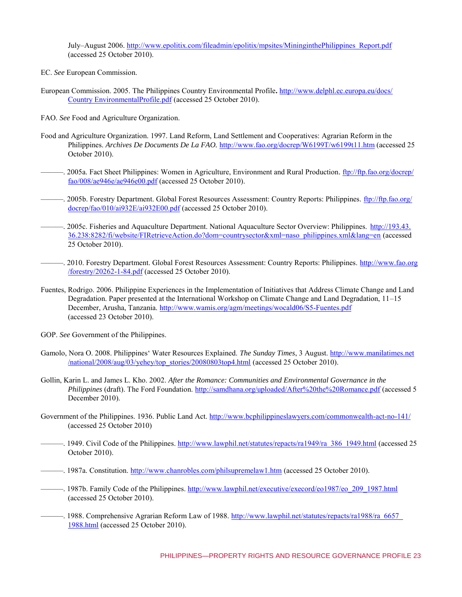July–August 2006. [http://www.epolitix.com/fileadmin/epolitix/mpsites/MininginthePhilippines\\_Report.pdf](http://www.epolitix.com/fileadmin/epolitix/mpsites/MininginthePhilippines_Report.pdf) (accessed 25 October 2010).

- EC. *See* European Commission.
- European Commission. 2005. The Philippines Country Environmental Profile**.** [http://www.delphl.ec.europa.eu/docs/](http://www.delphl.ec.europa.eu/docs/CountryEnvironmentalProfile.pdf) [Country EnvironmentalProfile.pdf](http://www.delphl.ec.europa.eu/docs/CountryEnvironmentalProfile.pdf) (accessed 25 October 2010).
- FAO. *See* Food and Agriculture Organization.
- Food and Agriculture Organization. 1997. Land Reform, Land Settlement and Cooperatives: Agrarian Reform in the Philippines. *Archives De Documents De La FAO.* <http://www.fao.org/docrep/W6199T/w6199t11.htm>(accessed 25 October 2010).
- ———. 2005a. Fact Sheet Philippines: Women in Agriculture, Environment and Rural Production*.* [ftp://ftp.fao.org/docrep/](ftp://ftp.fao.org/docrep/fao/008/ae946e/ae946e00.pdf) [fao/008/ae946e/ae946e00.pdf](ftp://ftp.fao.org/docrep/fao/008/ae946e/ae946e00.pdf) (accessed 25 October 2010).
- ———. 2005b. Forestry Department. Global Forest Resources Assessment: Country Reports: Philippines. [ftp://ftp.fao.org/](ftp://ftp.fao.org/docrep/fao/010/ai932E/ai932E00.pdf)  [docrep/fao/010/ai932E/ai932E00.pdf](ftp://ftp.fao.org/docrep/fao/010/ai932E/ai932E00.pdf) (accessed 25 October 2010).
- ———. 2005c. Fisheries and Aquaculture Department. National Aquaculture Sector Overview: Philippines. [http://193.43.](http://193.43.36.238:8282/fi/website/FIRetrieveAction.do?dom=countrysector&xml=naso_philippines.xml&lang=en) [36.238:8282/fi/website/FIRetrieveAction.do?dom=countrysector&xml=naso\\_philippines.xml&lang=en](http://193.43.36.238:8282/fi/website/FIRetrieveAction.do?dom=countrysector&xml=naso_philippines.xml&lang=en) (accessed 25 October 2010).
- ———. 2010. Forestry Department. Global Forest Resources Assessment: Country Reports: Philippines. [http://www.fao.org](http://www.fao.org/forestry/20262-1-84.pdf) [/forestry/20262-1-84.pdf](http://www.fao.org/forestry/20262-1-84.pdf) (accessed 25 October 2010).
- Fuentes, Rodrigo. 2006. Philippine Experiences in the Implementation of Initiatives that Address Climate Change and Land Degradation. Paper presented at the International Workshop on Climate Change and Land Degradation, 11–15 December, Arusha, Tanzania. <http://www.wamis.org/agm/meetings/wocald06/S5-Fuentes.pdf> (accessed 23 October 2010).
- GOP. *See* Government of the Philippines.
- Gamolo, Nora O. 2008. Philippines' Water Resources Explained. *The Sunday Times*, 3 August. [http://www.manilatimes.net](http://www.manilatimes.net/national/2008/aug/03/yehey/top_stories/20080803top4.html) [/national/2008/aug/03/yehey/top\\_stories/20080803top4.html](http://www.manilatimes.net/national/2008/aug/03/yehey/top_stories/20080803top4.html) (accessed 25 October 2010).
- Gollin, Karin L. and James L. Kho. 2002. *After the Romance: Communities and Environmental Governance in the Philippines* (draft). The Ford Foundation.<http://samdhana.org/uploaded/After%20the%20Romance.pdf>(accessed 5 December 2010).
- Government of the Philippines. 1936. Public Land Act[. http://www.bcphilippineslawyers.com/commonwealth-act-no-141/](http://www.bcphilippineslawyers.com/commonwealth-act-no-141/) (accessed 25 October 2010)
- —. 1949. Civil Code of the Philippines. http://www.lawphil.net/statutes/repacts/ra1949/ra 386 1949.html (accessed 25 October 2010).
- ——. 1987a. Constitution.<http://www.chanrobles.com/philsupremelaw1.htm>(accessed 25 October 2010).
- ———. 1987b. Family Code of the Philippines. [http://www.lawphil.net/executive/execord/eo1987/eo\\_209\\_1987.html](http://www.lawphil.net/executive/execord/eo1987/eo_209_1987.html) (accessed 25 October 2010).
- —. 1988. Comprehensive Agrarian Reform Law of 1988. http://www.lawphil.net/statutes/repacts/ra1988/ra\_6657 [1988.html](http://www.lawphil.net/statutes/repacts/ra1988/ra_6657_1988.html) (accessed 25 October 2010).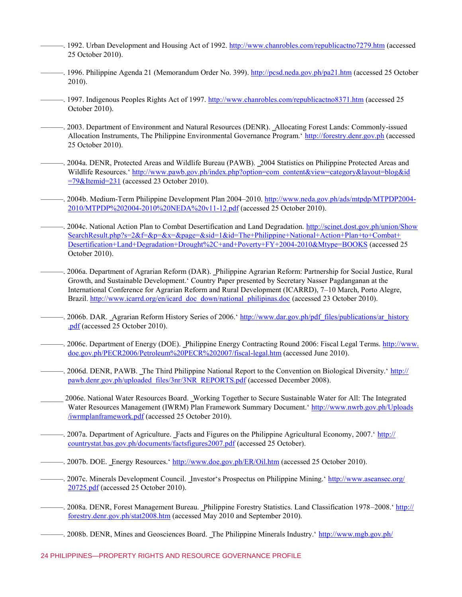- —. 1992. Urban Development and Housing Act of 1992. [http://www.chanrobles.com/republicactno7279.htm \(](http://www.chanrobles.com/republicactno7279.htm)accessed 25 October 2010).
- ——. 1996. Philippine Agenda 21 (Memorandum Order No. 399)[. http://pcsd.neda.gov.ph/pa21.htm \(](http://pcsd.neda.gov.ph/pa21.htm)accessed 25 October 2010).
- ——. 1997. Indigenous Peoples Rights Act of 1997. [http://www.chanrobles.com/republicactno8371.htm \(](http://www.chanrobles.com/republicactno8371.htm)accessed 25 October 2010).
- ——. 2003. Department of Environment and Natural Resources (DENR). Allocating Forest Lands: Commonly-issued Allocation Instruments, The Philippine Environmental Governance Program.' [http://forestry.denr.gov.ph](http://forestry.denr.gov.ph/) (accessed 25 October 2010).
- ———. 2004a. DENR, Protected Areas and Wildlife Bureau (PAWB). ‗2004 Statistics on Philippine Protected Areas and Wildlife Resources.' [http://www.pawb.gov.ph/index.php?option=com\\_content&view=category&layout=blog&id](http://www.pawb.gov.ph/index.php?option=com_content&view=category&layout=blog&id=79&Itemid=231)  $=79$ &Itemid=231 (accessed 23 October 2010).
- ———. 2004b. Medium-Term Philippine Development Plan 2004–2010[. http://www.neda.gov.ph/ads/mtpdp/MTPDP2004-](http://www.neda.gov.ph/ads/mtpdp/MTPDP2004-2010/MTPDP%202004-2010%20NEDA%20v11-12.pdf) [2010/MTPDP%202004-2010%20NEDA%20v11-12.pdf](http://www.neda.gov.ph/ads/mtpdp/MTPDP2004-2010/MTPDP%202004-2010%20NEDA%20v11-12.pdf) (accessed 25 October 2010).
- ———. 2004c. National Action Plan to Combat Desertification and Land Degradation. [http://scinet.dost.gov.ph/union/Show](http://scinet.dost.gov.ph/union/ShowSearchResult.php?s=2&f=&p=&x=&page=&sid=1&id=The+Philippine+National+Action+Plan+to+Combat+Desertification+Land+Degradation+Drought%2C+and+Poverty+FY+2004-2010&Mtype=BOOKS) [SearchResult.php?s=2&f=&p=&x=&page=&sid=1&id=The+Philippine+National+Action+Plan+to+Combat+](http://scinet.dost.gov.ph/union/ShowSearchResult.php?s=2&f=&p=&x=&page=&sid=1&id=The+Philippine+National+Action+Plan+to+Combat+Desertification+Land+Degradation+Drought%2C+and+Poverty+FY+2004-2010&Mtype=BOOKS) [Desertification+Land+Degradation+Drought%2C+and+Poverty+FY+2004-2010&Mtype=BOOKS \(](http://scinet.dost.gov.ph/union/ShowSearchResult.php?s=2&f=&p=&x=&page=&sid=1&id=The+Philippine+National+Action+Plan+to+Combat+Desertification+Land+Degradation+Drought%2C+and+Poverty+FY+2004-2010&Mtype=BOOKS)accessed 25 October 2010).
- ———. 2006a. Department of Agrarian Reform (DAR). ‗Philippine Agrarian Reform: Partnership for Social Justice, Rural Growth, and Sustainable Development.' Country Paper presented by Secretary Nasser Pagdanganan at the International Conference for Agrarian Reform and Rural Development (ICARRD), 7–10 March, Porto Alegre, Brazil. [http://www.icarrd.org/en/icard\\_doc\\_down/national\\_philipinas.doc](http://www.icarrd.org/en/icard_doc_down/national_philipinas.doc) (accessed 23 October 2010).
- 2006b. DAR. Agrarian Reform History Series of 2006.' [http://www.dar.gov.ph/pdf\\_files/publications/ar\\_history](http://www.dar.gov.ph/pdf_files/publications/ar_history.pdf) [.pdf](http://www.dar.gov.ph/pdf_files/publications/ar_history.pdf) (accessed 25 October 2010).
- —. 2006c. Department of Energy (DOE). Philippine Energy Contracting Round 2006: Fiscal Legal Terms. [http://www.](http://www.doe.gov.ph/PECR2006/Petroleum%20PECR%202007/fiscal-legal.htm) [doe.gov.ph/PECR2006/Petroleum%20PECR%202007/fiscal-legal.htm](http://www.doe.gov.ph/PECR2006/Petroleum%20PECR%202007/fiscal-legal.htm) (accessed June 2010).
- —–. 2006d. DENR, PAWB. The Third Philippine National Report to the Convention on Biological Diversity.' [http://](http://pawb.denr.gov.ph/uploaded_files/3nr/3NR_REPORTS.pdf) [pawb.denr.gov.ph/uploaded\\_files/3nr/3NR\\_REPORTS.pdf](http://pawb.denr.gov.ph/uploaded_files/3nr/3NR_REPORTS.pdf) (accessed December 2008).
- \_\_\_\_\_\_ 2006e. National Water Resources Board. ‗Working Together to Secure Sustainable Water for All: The Integrated Water Resources Management (IWRM) Plan Framework Summary Document.' [http://www.nwrb.gov.ph/Uploads](http://www.nwrb.gov.ph/Uploads/iwrmplanframework.pdf) [/iwrmplanframework.pdf](http://www.nwrb.gov.ph/Uploads/iwrmplanframework.pdf) (accessed 25 October 2010).
- —–. 2007a. Department of Agriculture. Facts and Figures on the Philippine Agricultural Economy, 2007.' [http://](http://countrystat.bas.gov.ph/documents/factsfigures2007.pdf) [countrystat.bas.gov.ph/documents/factsfigures2007.pdf](http://countrystat.bas.gov.ph/documents/factsfigures2007.pdf) (accessed 25 October).
- ——. 2007b. DOE. Energy Resources.'<http://www.doe.gov.ph/ER/Oil.htm> (accessed 25 October 2010).
- ———. 2007c. Minerals Development Council. ‗Investor's Prospectus on Philippine Mining.' [http://www.aseansec.org/](http://www.aseansec.org/20725.pdf) [20725.pdf](http://www.aseansec.org/20725.pdf) (accessed 25 October 2010).
- ——. 2008a. DENR, Forest Management Bureau. Philippine Forestry Statistics. Land Classification 1978–2008.[' http://](http://forestry.denr.gov.ph/stat2008.htm) [forestry.denr.gov.ph/stat2008.htm](http://forestry.denr.gov.ph/stat2008.htm) (accessed May 2010 and September 2010).
- —. 2008b. DENR, Mines and Geosciences Board. The Philippine Minerals Industry.' [http://www.mgb.gov.ph/](http://www.mgb.gov.ph/presentations/presentationsframe.htm)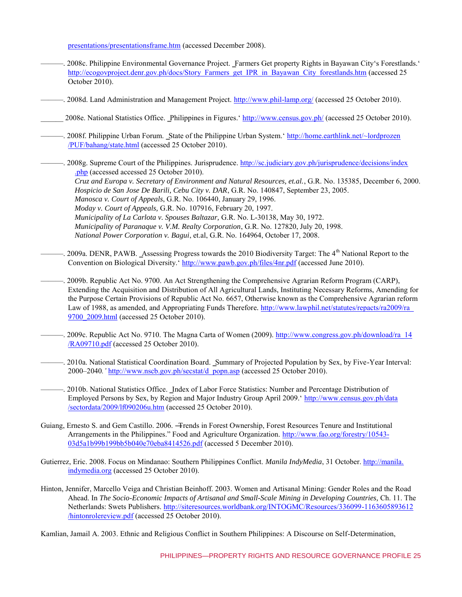presentations/presentationsframe.htm (accessed December 2008).

- ———. 2008c. Philippine Environmental Governance Project. ‗Farmers Get property Rights in Bayawan City's Forestlands.' [http://ecogovproject.denr.gov.ph/docs/Story\\_Farmers\\_get\\_IPR\\_in\\_Bayawan\\_City\\_forestlands.htm](http://ecogovproject.denr.gov.ph/docs/Story_Farmers_get_IPR_in_Bayawan_City_forestlands.htm) (accessed 25 October 2010).
- ———. 2008d. Land Administration and Management Project.<http://www.phil-lamp.org/>(accessed 25 October 2010).
- \_\_\_\_\_\_ 2008e. National Statistics Office. ‗Philippines in Figures.'<http://www.census.gov.ph/>(accessed 25 October 2010).
- —. 2008f. Philippine Urban Forum. State of the Philippine Urban System.' [http://home.earthlink.net/~lordprozen](http://home.earthlink.net/~lordprozen/PUF/bahang/state.html) [/PUF/bahang/state.html](http://home.earthlink.net/~lordprozen/PUF/bahang/state.html) (accessed 25 October 2010).

———. 2008g. Supreme Court of the Philippines. Jurisprudence. [http://sc.judiciary.gov.ph/jurisprudence/decisions/index](http://sc.judiciary.gov.ph/jurisprudence/decisions/index.php) [.php](http://sc.judiciary.gov.ph/jurisprudence/decisions/index.php) (accessed accessed 25 October 2010). *Cruz and Europa v. Secretary of Environment and Natural Resources, et.al.*, G.R. No. 135385, December 6, 2000. *Hospicio de San Jose De Barili, Cebu City v. DAR*, G.R. No. 140847, September 23, 2005. *Manosca v. Court of Appeals*, G.R. No. 106440, January 29, 1996. *Moday v. Court of Appeals,* G.R. No. 107916, February 20, 1997. *Municipality of La Carlota v. Spouses Baltazar,* G.R. No. L-30138, May 30, 1972. *Municipality of Paranaque v. V.M. Realty Corporation*, G.R. No. 127820, July 20, 1998. *National Power Corporation v. Bagui*, et.al, G.R. No. 164964, October 17, 2008.

—. 2009a. DENR, PAWB. Assessing Progress towards the 2010 Biodiversity Target: The  $4<sup>th</sup>$  National Report to the Convention on Biological Diversity.'<http://www.pawb.gov.ph/files/4nr.pdf>(accessed June 2010).

———. 2009b. Republic Act No. 9700. An Act Strengthening the Comprehensive Agrarian Reform Program (CARP), Extending the Acquisition and Distribution of All Agricultural Lands, Instituting Necessary Reforms, Amending for the Purpose Certain Provisions of Republic Act No. 6657, Otherwise known as the Comprehensive Agrarian reform Law of 1988, as amended, and Appropriating Funds Therefore. http://www.lawphil.net/statutes/repacts/ra2009/ra 9700 2009.html (accessed 25 October 2010).

- 2009c. Republic Act No. 9710. The Magna Carta of Women (2009). [http://www.congress.gov.ph/download/ra\\_14](http://www.congress.gov.ph/download/ra_14/RA09710.pdf) [/RA09710.pdf](http://www.congress.gov.ph/download/ra_14/RA09710.pdf) (accessed 25 October 2010).
- ——. 2010a. National Statistical Coordination Board. Summary of Projected Population by Sex, by Five-Year Interval: 2000–2040*.'* [http://www.nscb.gov.ph/secstat/d\\_popn.asp](http://www.nscb.gov.ph/secstat/d_popn.asp) (accessed 25 October 2010).
- ———. 2010b. National Statistics Office. ‗Index of Labor Force Statistics: Number and Percentage Distribution of Employed Persons by Sex, by Region and Major Industry Group April 2009.' [http://www.census.gov.ph/data](http://www.census.gov.ph/data/sectordata/2009/lf090206u.htm) [/sectordata/2009/lf090206u.htm](http://www.census.gov.ph/data/sectordata/2009/lf090206u.htm) (accessed 25 October 2010).
- Guiang, Ernesto S. and Gem Castillo. 2006. ―Trends in Forest Ownership, Forest Resources Tenure and Institutional Arrangements in the Philippines." Food and Agriculture Organization. [http://www.fao.org/forestry/10543-](http://www.fao.org/forestry/10543-03d5a1b99b199bb5b040e70eba8414526.pdf) [03d5a1b99b199bb5b040e70eba8414526.pdf](http://www.fao.org/forestry/10543-03d5a1b99b199bb5b040e70eba8414526.pdf) (accessed 5 December 2010).
- Gutierrez, Eric. 2008. Focus on Mindanao: Southern Philippines Conflict. *Manila IndyMedia*, 31 October[. http://manila.](http://manila.indymedia.org/) [indymedia.org](http://manila.indymedia.org/) (accessed 25 October 2010).
- Hinton, Jennifer, Marcello Veiga and Christian Beinhoff. 2003. Women and Artisanal Mining: Gender Roles and the Road Ahead. In *The Socio-Economic Impacts of Artisanal and Small-Scale Mining in Developing Countries,* Ch. 11. The Netherlands: Swets Publishers[. http://siteresources.worldbank.org/INTOGMC/Resources/336099-1163605893612](http://siteresources.worldbank.org/INTOGMC/Resources/336099-1163605893612/hintonrolereview.pdf) [/hintonrolereview.pdf](http://siteresources.worldbank.org/INTOGMC/Resources/336099-1163605893612/hintonrolereview.pdf) (accessed 25 October 2010).

Kamlian, Jamail A. 2003. Ethnic and Religious Conflict in Southern Philippines: A Discourse on Self-Determination,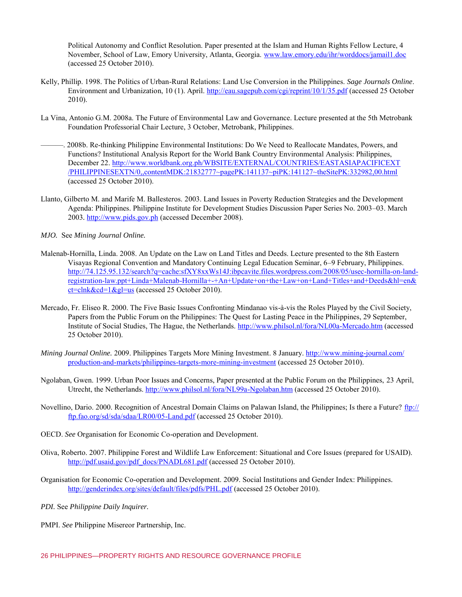Political Autonomy and Conflict Resolution. Paper presented at the Islam and Human Rights Fellow Lecture, 4 November, School of Law, Emory University, Atlanta, Georgia. [www.law.emory.edu/ihr/worddocs/jamail1.doc](http://www.law.emory.edu/ihr/worddocs/jamail1.doc) (accessed 25 October 2010).

- Kelly, Phillip. 1998. The Politics of Urban-Rural Relations: Land Use Conversion in the Philippines. *Sage Journals Online*. Environment and Urbanization, 10 (1). April.<http://eau.sagepub.com/cgi/reprint/10/1/35.pdf>(accessed 25 October 2010).
- La Vina, Antonio G.M. 2008a. The Future of Environmental Law and Governance. Lecture presented at the 5th Metrobank Foundation Professorial Chair Lecture, 3 October, Metrobank, Philippines.
- ———. 2008b. Re-thinking Philippine Environmental Institutions: Do We Need to Reallocate Mandates, Powers, and Functions? Institutional Analysis Report for the World Bank Country Environmental Analysis: Philippines, December 22[. http://www.worldbank.org.ph/WBSITE/EXTERNAL/COUNTRIES/EASTASIAPACIFICEXT](http://www.worldbank.org.ph/WBSITE/EXTERNAL/COUNTRIES/EASTASIAPACIFICEXT/PHILIPPINESEXTN/0,,contentMDK:21832777~pagePK:141137~piPK:141127~theSitePK:332982,00.html) [/PHILIPPINESEXTN/0,,contentMDK:21832777~pagePK:141137~piPK:141127~theSitePK:332982,00.html](http://www.worldbank.org.ph/WBSITE/EXTERNAL/COUNTRIES/EASTASIAPACIFICEXT/PHILIPPINESEXTN/0,,contentMDK:21832777~pagePK:141137~piPK:141127~theSitePK:332982,00.html) (accessed 25 October 2010).
- Llanto, Gilberto M. and Marife M. Ballesteros. 2003. Land Issues in Poverty Reduction Strategies and the Development Agenda: Philippines. Philippine Institute for Development Studies Discussion Paper Series No. 2003–03. March 2003*.* [http://www.pids.gov.ph](http://www.pids.gov.ph/) (accessed December 2008).
- *MJO.* See *Mining Journal Online.*
- Malenab-Hornilla, Linda. 2008. An Update on the Law on Land Titles and Deeds. Lecture presented to the 8th Eastern Visayas Regional Convention and Mandatory Continuing Legal Education Seminar, 6–9 February, Philippines. [http://74.125.95.132/search?q=cache:sfXY8xxWs14J:ibpcavite.files.wordpress.com/2008/05/usec-hornilla-on-land](http://74.125.95.132/search?q=cache:sfXY8xxWs14J:ibpcavite.files.wordpress.com/2008/05/usec-hornilla-on-land-registration-law.ppt+Linda+Malenab-Hornilla+-+An+Update+on+the+Law+on+Land+Titles+and+Deeds&hl=en&ct=clnk&cd=1&gl=us)[registration-law.ppt+Linda+Malenab-Hornilla+-+An+Update+on+the+Law+on+Land+Titles+and+Deeds&hl=en&](http://74.125.95.132/search?q=cache:sfXY8xxWs14J:ibpcavite.files.wordpress.com/2008/05/usec-hornilla-on-land-registration-law.ppt+Linda+Malenab-Hornilla+-+An+Update+on+the+Law+on+Land+Titles+and+Deeds&hl=en&ct=clnk&cd=1&gl=us)  $ct = c \ln k \& c \cdot d = 1 \& g = us$  (accessed 25 October 2010).
- Mercado, Fr. Eliseo R. 2000. The Five Basic Issues Confronting Mindanao vis-à-vis the Roles Played by the Civil Society, Papers from the Public Forum on the Philippines: The Quest for Lasting Peace in the Philippines, 29 September, Institute of Social Studies, The Hague, the Netherlands.<http://www.philsol.nl/fora/NL00a-Mercado.htm>(accessed 25 October 2010).
- *Mining Journal Online.* 2009. Philippines Targets More Mining Investment. 8 January. [http://www.mining-journal.com/](http://www.mining-journal.com/production-and-markets/philippines-targets-more-mining-investment) [production-and-markets/philippines-targets-more-mining-investment](http://www.mining-journal.com/production-and-markets/philippines-targets-more-mining-investment) (accessed 25 October 2010).
- Ngolaban, Gwen. 1999. Urban Poor Issues and Concerns, Paper presented at the Public Forum on the Philippines, 23 April, Utrecht, the Netherlands. [http://www.philsol.nl/fora/NL99a-Ngolaban.htm \(](http://www.philsol.nl/fora/NL99a-Ngolaban.htm)accessed 25 October 2010).
- Novellino, Dario. 2000. Recognition of Ancestral Domain Claims on Palawan Island, the Philippines; Is there a Future? [ftp://](ftp://ftp.fao.org/sd/sda/sdaa/LR00/05-Land.pdf) [ftp.fao.org/sd/sda/sdaa/LR00/05-Land.pdf](ftp://ftp.fao.org/sd/sda/sdaa/LR00/05-Land.pdf) (accessed 25 October 2010).
- OECD. *See* Organisation for Economic Co-operation and Development.
- Oliva, Roberto. 2007. Philippine Forest and Wildlife Law Enforcement: Situational and Core Issues (prepared for USAID). [http://pdf.usaid.gov/pdf\\_docs/PNADL681.pdf](http://pdf.usaid.gov/pdf_docs/PNADL681.pdf) (accessed 25 October 2010).
- Organisation for Economic Co-operation and Development. 2009. Social Institutions and Gender Index: Philippines*.* <http://genderindex.org/sites/default/files/pdfs/PHL.pdf>(accessed 25 October 2010).
- *PDI.* See *Philippine Daily Inquirer.*

PMPI. *See* Philippine Misereor Partnership, Inc.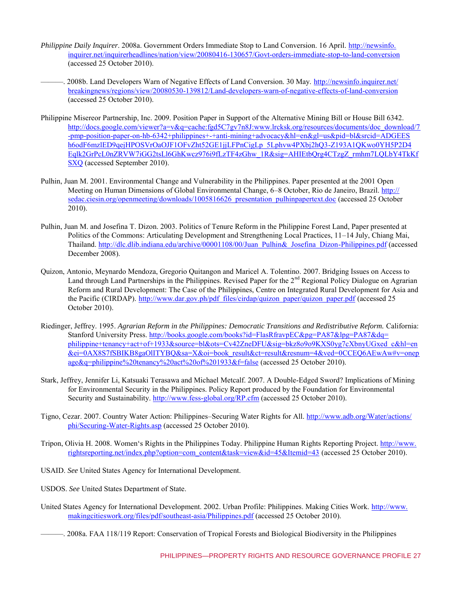- *Philippine Daily Inquirer*. 2008a. Government Orders Immediate Stop to Land Conversion. 16 April. [http://newsinfo.](http://newsinfo.inquirer.net/inquirerheadlines/nation/view/20080416-130657/Govt-orders-immediate-stop-to-land-conversion) [inquirer.net/inquirerheadlines/nation/view/20080416-130657/Govt-orders-immediate-stop-to-land-conversion](http://newsinfo.inquirer.net/inquirerheadlines/nation/view/20080416-130657/Govt-orders-immediate-stop-to-land-conversion) (accessed 25 October 2010).
	- ———. 2008b. Land Developers Warn of Negative Effects of Land Conversion. 30 May. [http://newsinfo.inquirer.net/](http://newsinfo.inquirer.net/breakingnews/regions/view/20080530-139812/Land-developers-warn-of-negative-effects-of-land-conversion) [breakingnews/regions/view/20080530-139812/Land-developers-warn-of-negative-effects-of-land-conversion](http://newsinfo.inquirer.net/breakingnews/regions/view/20080530-139812/Land-developers-warn-of-negative-effects-of-land-conversion) (accessed 25 October 2010).
- Philippine Misereor Partnership, Inc. 2009. Position Paper in Support of the Alternative Mining Bill or House Bill 6342. [http://docs.google.com/viewer?a=v&q=cache:fgd5C7gv7n8J:www.lrcksk.org/resources/documents/doc\\_download/7](http://docs.google.com/viewer?a=v&q=cache:fgd5C7gv7n8J:www.lrcksk.org/resources/documents/doc_download/7-pmp-position-paper-on-hb-6342+philippines+-+anti-mining+advocacy&hl=en&gl=us&pid=bl&srcid=ADGEESh6odF6mzlED9qejHPOSVrOaOJF1OFvZht52GE1jjLFPnCigLp_5Lphv) [-pmp-position-paper-on-hb-6342+philippines+-+anti-mining+advocacy&hl=en&gl=us&pid=bl&srcid=ADGEES](http://docs.google.com/viewer?a=v&q=cache:fgd5C7gv7n8J:www.lrcksk.org/resources/documents/doc_download/7-pmp-position-paper-on-hb-6342+philippines+-+anti-mining+advocacy&hl=en&gl=us&pid=bl&srcid=ADGEESh6odF6mzlED9qejHPOSVrOaOJF1OFvZht52GE1jjLFPnCigLp_5Lphv) [h6odF6mzlED9qejHPOSVrOaOJF1OFvZht52GE1jjLFPnCigLp\\_5Lphvw4PXbj2hQ3-Z193A1QKwo0YH5P2D4](http://docs.google.com/viewer?a=v&q=cache:fgd5C7gv7n8J:www.lrcksk.org/resources/documents/doc_download/7-pmp-position-paper-on-hb-6342+philippines+-+anti-mining+advocacy&hl=en&gl=us&pid=bl&srcid=ADGEESh6odF6mzlED9qejHPOSVrOaOJF1OFvZht52GE1jjLFPnCigLp_5Lphv) [Eqlk2GrPcL0nZRVW7iGG2tsLl6GhKwcz976i9fLzTF4zGhw\\_1R&sig=AHIEtbQrg4CTzgZ\\_rmhm7LQLbY4TkKf](http://docs.google.com/viewer?a=v&q=cache:fgd5C7gv7n8J:www.lrcksk.org/resources/documents/doc_download/7-pmp-position-paper-on-hb-6342+philippines+-+anti-mining+advocacy&hl=en&gl=us&pid=bl&srcid=ADGEESh6odF6mzlED9qejHPOSVrOaOJF1OFvZht52GE1jjLFPnCigLp_5Lphv) [SXQ](http://docs.google.com/viewer?a=v&q=cache:fgd5C7gv7n8J:www.lrcksk.org/resources/documents/doc_download/7-pmp-position-paper-on-hb-6342+philippines+-+anti-mining+advocacy&hl=en&gl=us&pid=bl&srcid=ADGEESh6odF6mzlED9qejHPOSVrOaOJF1OFvZht52GE1jjLFPnCigLp_5Lphv) (accessed September 2010).
- Pulhin, Juan M. 2001. Environmental Change and Vulnerability in the Philippines. Paper presented at the 2001 Open Meeting on Human Dimensions of Global Environmental Change, 6–8 October, Rio de Janeiro, Brazil[. http://](http://sedac.ciesin.org/openmeeting/downloads/1005816626_presentation_pulhinpapertext.doc) [sedac.ciesin.org/openmeeting/downloads/1005816626\\_presentation\\_pulhinpapertext.doc](http://sedac.ciesin.org/openmeeting/downloads/1005816626_presentation_pulhinpapertext.doc) (accessed 25 October 2010).
- Pulhin, Juan M. and Josefina T. Dizon. 2003. Politics of Tenure Reform in the Philippine Forest Land, Paper presented at Politics of the Commons: Articulating Development and Strengthening Local Practices, 11–14 July, Chiang Mai, Thailand[. http://dlc.dlib.indiana.edu/archive/00001108/00/Juan\\_Pulhin&\\_Josefina\\_Dizon-Philippines.pdf](http://dlc.dlib.indiana.edu/archive/00001108/00/Juan_Pulhin&_Josefina_Dizon-Philippines.pdf) (accessed December 2008).
- Quizon, Antonio, Meynardo Mendoza, Gregorio Quitangon and Maricel A. Tolentino. 2007. Bridging Issues on Access to Land through Land Partnerships in the Philippines. Revised Paper for the 2<sup>nd</sup> Regional Policy Dialogue on Agrarian Reform and Rural Development: The Case of the Philippines, Centre on Integrated Rural Development for Asia and the Pacific (CIRDAP). [http://www.dar.gov.ph/pdf\\_files/cirdap/quizon\\_paper/quizon\\_paper.pdf](http://www.dar.gov.ph/pdf_files/cirdap/quizon_paper/quizon_paper.pdf) (accessed 25 October 2010).
- Riedinger, Jeffrey. 1995. *Agrarian Reform in the Philippines: Democratic Transitions and Redistributive Reform.* California: Stanford University Press. [http://books.google.com/books?id=FlasRfravpEC&pg=PA87&lpg=PA87&dq=](http://books.google.com/books?id=FlasRfravpEC&pg=PA87&lpg=PA87&dq=philippine+tenancy+act+of+1933&source=bl&ots=Cv42ZneDFU&sig=bkz8o9o9KXS0yg7cXbnyUGxed_c&hl=en&ei=0AX8S7fSBIKB8gaOlITYBQ&sa=X&oi=book_result&ct=result&resnum=4&ved=0CCEQ6AEwAw#v=onepage&q=phi) [philippine+tenancy+act+of+1933&source=bl&ots=Cv42ZneDFU&sig=bkz8o9o9KXS0yg7cXbnyUGxed\\_c&hl=en](http://books.google.com/books?id=FlasRfravpEC&pg=PA87&lpg=PA87&dq=philippine+tenancy+act+of+1933&source=bl&ots=Cv42ZneDFU&sig=bkz8o9o9KXS0yg7cXbnyUGxed_c&hl=en&ei=0AX8S7fSBIKB8gaOlITYBQ&sa=X&oi=book_result&ct=result&resnum=4&ved=0CCEQ6AEwAw#v=onepage&q=phi) [&ei=0AX8S7fSBIKB8gaOlITYBQ&sa=X&oi=book\\_result&ct=result&resnum=4&ved=0CCEQ6AEwAw#v=onep](http://books.google.com/books?id=FlasRfravpEC&pg=PA87&lpg=PA87&dq=philippine+tenancy+act+of+1933&source=bl&ots=Cv42ZneDFU&sig=bkz8o9o9KXS0yg7cXbnyUGxed_c&hl=en&ei=0AX8S7fSBIKB8gaOlITYBQ&sa=X&oi=book_result&ct=result&resnum=4&ved=0CCEQ6AEwAw#v=onepage&q=phi) [age&q=philippine%20tenancy%20act%20of%201933&f=false](http://books.google.com/books?id=FlasRfravpEC&pg=PA87&lpg=PA87&dq=philippine+tenancy+act+of+1933&source=bl&ots=Cv42ZneDFU&sig=bkz8o9o9KXS0yg7cXbnyUGxed_c&hl=en&ei=0AX8S7fSBIKB8gaOlITYBQ&sa=X&oi=book_result&ct=result&resnum=4&ved=0CCEQ6AEwAw#v=onepage&q=phi) (accessed 25 October 2010).
- Stark, Jeffrey, Jennifer Li, Katsuaki Terasawa and Michael Metcalf. 2007. A Double-Edged Sword? Implications of Mining for Environmental Security in the Philippines. Policy Report produced by the Foundation for Environmental Security and Sustainability.<http://www.fess-global.org/RP.cfm>(accessed 25 October 2010).
- Tigno, Cezar. 2007. Country Water Action: Philippines–Securing Water Rights for All. [http://www.adb.org/Water/actions/](http://www.adb.org/Water/actions/phi/Securing-Water-Rights.asp)  [phi/Securing-Water-Rights.asp](http://www.adb.org/Water/actions/phi/Securing-Water-Rights.asp) (accessed 25 October 2010).
- Tripon, Olivia H. 2008. Women's Rights in the Philippines Today. Philippine Human Rights Reporting Project. [http://www.](http://www.rightsreporting.net/index.php?option=com_content&task=view&id=45&Itemid=43) [rightsreporting.net/index.php?option=com\\_content&task=view&id=45&Itemid=43](http://www.rightsreporting.net/index.php?option=com_content&task=view&id=45&Itemid=43) (accessed 25 October 2010).
- USAID. *See* United States Agency for International Development.
- USDOS. *See* United States Department of State.
- United States Agency for International Development. 2002. Urban Profile: Philippines. Making Cities Work. [http://www.](http://www.makingcitieswork.org/files/pdf/southeast-asia/Philippines.pdf) [makingcitieswork.org/files/pdf/southeast-asia/Philippines.pdf](http://www.makingcitieswork.org/files/pdf/southeast-asia/Philippines.pdf) (accessed 25 October 2010).
	- ———. 2008a. FAA 118/119 Report: Conservation of Tropical Forests and Biological Biodiversity in the Philippines